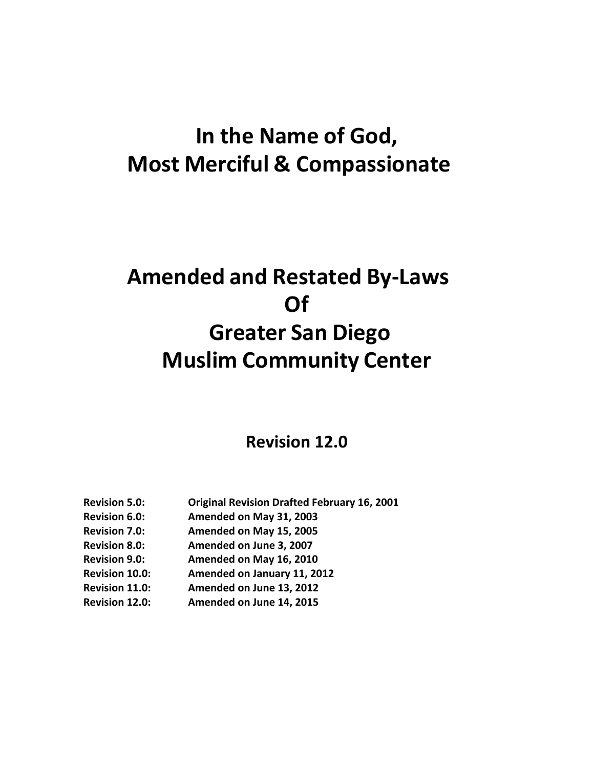## **In the Name of God, Most Merciful & Compassionate**

# **Amended and Restated By‐Laws Of Greater San Diego Muslim Community Center**

## **Revision 12.0**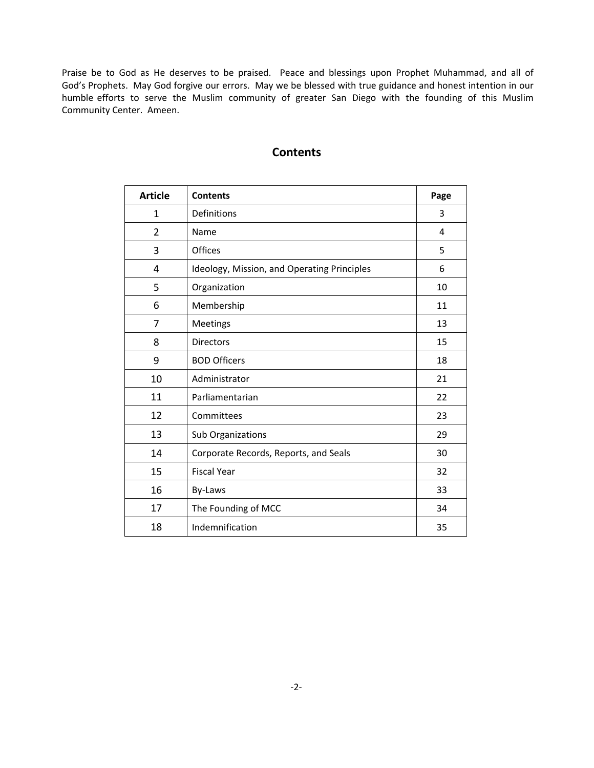Praise be to God as He deserves to be praised. Peace and blessings upon Prophet Muhammad, and all of God's Prophets. May God forgive our errors. May we be blessed with true guidance and honest intention in our humble efforts to serve the Muslim community of greater San Diego with the founding of this Muslim Community Center. Ameen.

| <b>Article</b> | <b>Contents</b>                             | Page |
|----------------|---------------------------------------------|------|
| $\mathbf{1}$   | Definitions                                 | 3    |
| $\overline{2}$ | Name                                        | 4    |
| 3              | Offices                                     | 5    |
| $\overline{4}$ | Ideology, Mission, and Operating Principles | 6    |
| 5              | Organization                                | 10   |
| 6              | Membership                                  | 11   |
| $\overline{7}$ | Meetings                                    | 13   |
| 8              | <b>Directors</b>                            | 15   |
| 9              | <b>BOD Officers</b>                         | 18   |
| 10             | Administrator                               | 21   |
| 11             | Parliamentarian                             | 22   |
| 12             | Committees                                  | 23   |
| 13             | Sub Organizations                           | 29   |
| 14             | Corporate Records, Reports, and Seals       | 30   |
| 15             | <b>Fiscal Year</b>                          | 32   |
| 16             | By-Laws                                     | 33   |
| 17             | The Founding of MCC                         | 34   |
| 18             | Indemnification                             | 35   |

## **Contents**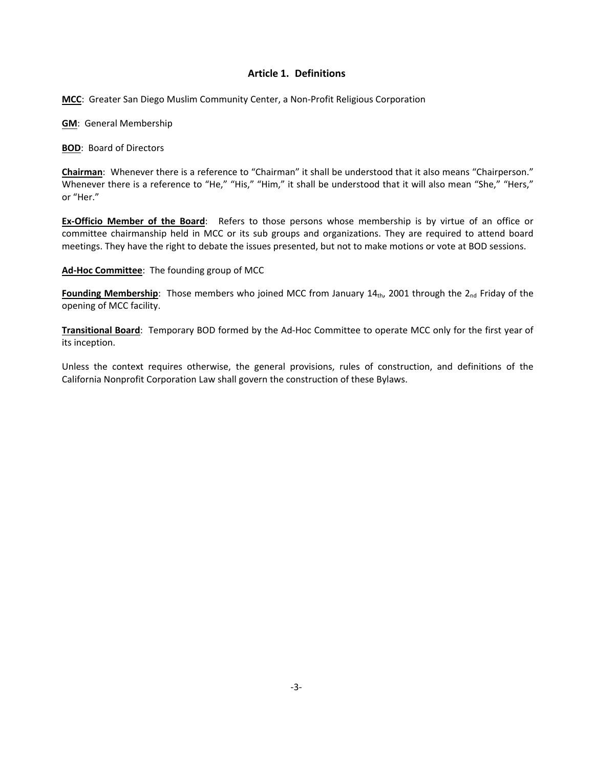## **Article 1. Definitions**

**MCC**: Greater San Diego Muslim Community Center, a Non‐Profit Religious Corporation

**GM**: General Membership

**BOD**: Board of Directors

**Chairman**: Whenever there is a reference to "Chairman" it shall be understood that it also means "Chairperson." Whenever there is a reference to "He," "His," "Him," it shall be understood that it will also mean "She," "Hers," or "Her."

**Ex‐Officio Member of the Board**: Refers to those persons whose membership is by virtue of an office or committee chairmanship held in MCC or its sub groups and organizations. They are required to attend board meetings. They have the right to debate the issues presented, but not to make motions or vote at BOD sessions.

**Ad‐Hoc Committee**: The founding group of MCC

**Founding Membership**: Those members who joined MCC from January  $14<sub>th</sub>$ , 2001 through the  $2<sub>nd</sub>$  Friday of the opening of MCC facility.

**Transitional Board**: Temporary BOD formed by the Ad‐Hoc Committee to operate MCC only for the first year of its inception.

Unless the context requires otherwise, the general provisions, rules of construction, and definitions of the California Nonprofit Corporation Law shall govern the construction of these Bylaws.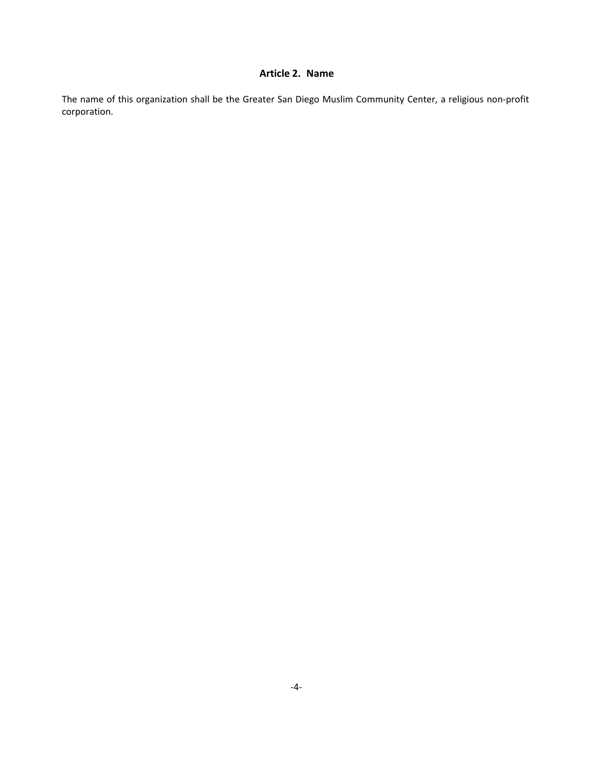## **Article 2. Name**

The name of this organization shall be the Greater San Diego Muslim Community Center, a religious non‐profit corporation.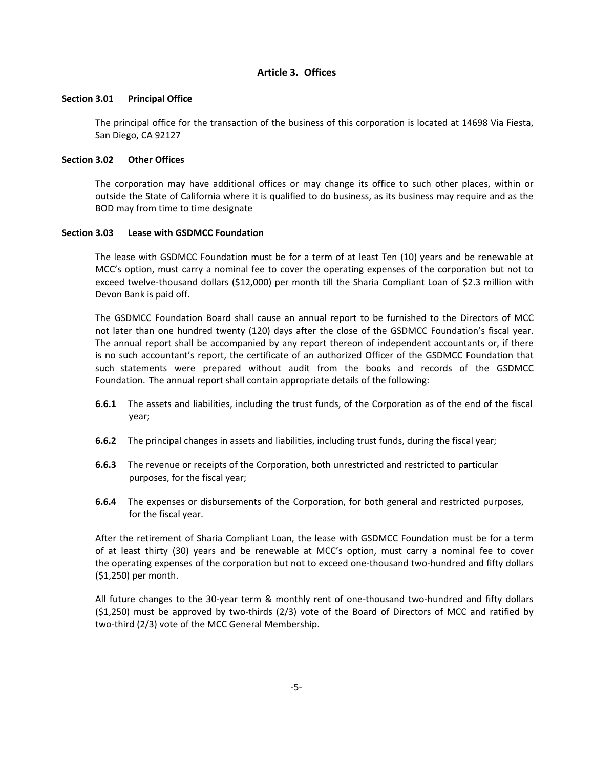## **Article 3. Offices**

## **Section 3.01 Principal Office**

The principal office for the transaction of the business of this corporation is located at 14698 Via Fiesta, San Diego, CA 92127

## **Section 3.02 Other Offices**

The corporation may have additional offices or may change its office to such other places, within or outside the State of California where it is qualified to do business, as its business may require and as the BOD may from time to time designate

## **Section 3.03 Lease with GSDMCC Foundation**

The lease with GSDMCC Foundation must be for a term of at least Ten (10) years and be renewable at MCC's option, must carry a nominal fee to cover the operating expenses of the corporation but not to exceed twelve-thousand dollars (\$12,000) per month till the Sharia Compliant Loan of \$2.3 million with Devon Bank is paid off.

The GSDMCC Foundation Board shall cause an annual report to be furnished to the Directors of MCC not later than one hundred twenty (120) days after the close of the GSDMCC Foundation's fiscal year. The annual report shall be accompanied by any report thereon of independent accountants or, if there is no such accountant's report, the certificate of an authorized Officer of the GSDMCC Foundation that such statements were prepared without audit from the books and records of the GSDMCC Foundation. The annual report shall contain appropriate details of the following:

- **6.6.1** The assets and liabilities, including the trust funds, of the Corporation as of the end of the fiscal year;
- **6.6.2** The principal changes in assets and liabilities, including trust funds, during the fiscal year;
- **6.6.3** The revenue or receipts of the Corporation, both unrestricted and restricted to particular purposes, for the fiscal year;
- **6.6.4** The expenses or disbursements of the Corporation, for both general and restricted purposes, for the fiscal year.

After the retirement of Sharia Compliant Loan, the lease with GSDMCC Foundation must be for a term of at least thirty (30) years and be renewable at MCC's option, must carry a nominal fee to cover the operating expenses of the corporation but not to exceed one-thousand two-hundred and fifty dollars (\$1,250) per month.

All future changes to the 30‐year term & monthly rent of one‐thousand two‐hundred and fifty dollars  $(51,250)$  must be approved by two-thirds  $(2/3)$  vote of the Board of Directors of MCC and ratified by two-third (2/3) vote of the MCC General Membership.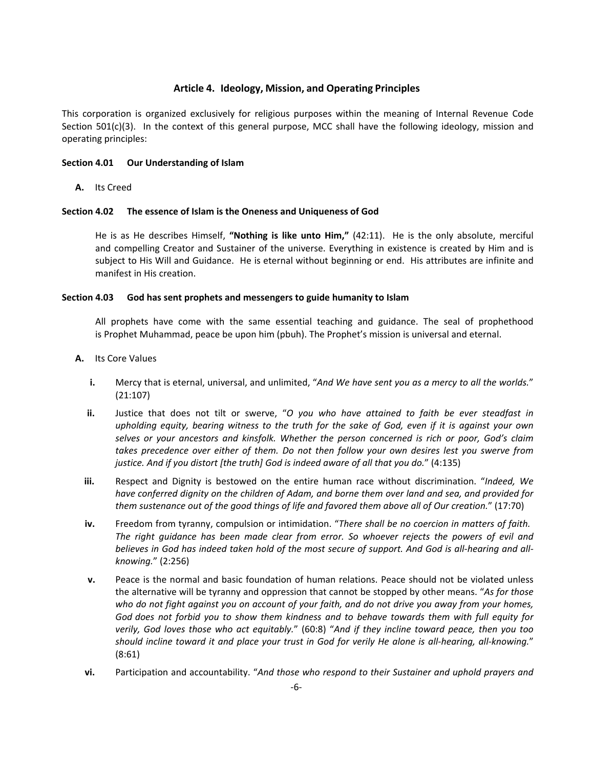## **Article 4. Ideology, Mission, and Operating Principles**

This corporation is organized exclusively for religious purposes within the meaning of Internal Revenue Code Section  $501(c)(3)$ . In the context of this general purpose, MCC shall have the following ideology, mission and operating principles:

## **Section 4.01 Our Understanding of Islam**

**A.** Its Creed

## **Section 4.02 The essence of Islam is the Oneness and Uniqueness of God**

He is as He describes Himself, **"Nothing is like unto Him,"** (42:11). He is the only absolute, merciful and compelling Creator and Sustainer of the universe. Everything in existence is created by Him and is subject to His Will and Guidance. He is eternal without beginning or end. His attributes are infinite and manifest in His creation.

#### **Section 4.03 God has sent prophets and messengers to guide humanity to Islam**

All prophets have come with the same essential teaching and guidance. The seal of prophethood is Prophet Muhammad, peace be upon him (pbuh). The Prophet's mission is universal and eternal.

- **A.** Its Core Values
	- **i.** Mercy that is eternal, universal, and unlimited, "*And We have sent you as a mercy to all the worlds.*" (21:107)
	- **ii.** Justice that does not tilt or swerve, "*O you who have attained to faith be ever steadfast in upholding equity, bearing witness to the truth for the sake of God, even if it is against your own selves or your ancestors and kinsfolk. Whether the person concerned is rich or poor, God's claim takes precedence over either of them. Do not then follow your own desires lest you swerve from justice. And if you distort [the truth] God is indeed aware of all that you do.*" (4:135)
	- **iii.** Respect and Dignity is bestowed on the entire human race without discrimination. "*Indeed, We have conferred dignity on the children of Adam, and borne them over land and sea, and provided for them sustenance out of the good things of life and favored them above all of Our creation.*" (17:70)
	- **iv.** Freedom from tyranny, compulsion or intimidation. "*There shall be no coercion in matters of faith.* The right quidance has been made clear from error. So whoever rejects the powers of evil and *believes in God has indeed taken hold of the most secure of support. And God is all‐hearing and all‐ knowing.*" (2:256)
	- **v.** Peace is the normal and basic foundation of human relations. Peace should not be violated unless the alternative will be tyranny and oppression that cannot be stopped by other means. "*As for those who do not fight against you on account of your faith, and do not drive you away from your homes, God does not forbid you to show them kindness and to behave towards them with full equity for verily, God lovesthose who act equitably.*" (60:8) "*And if they incline toward peace, then you too should incline toward it and place your trust in God for verily He alone is all‐hearing, all‐knowing.*" (8:61)
	- **vi.** Participation and accountability. "And those who respond to their Sustainer and uphold prayers and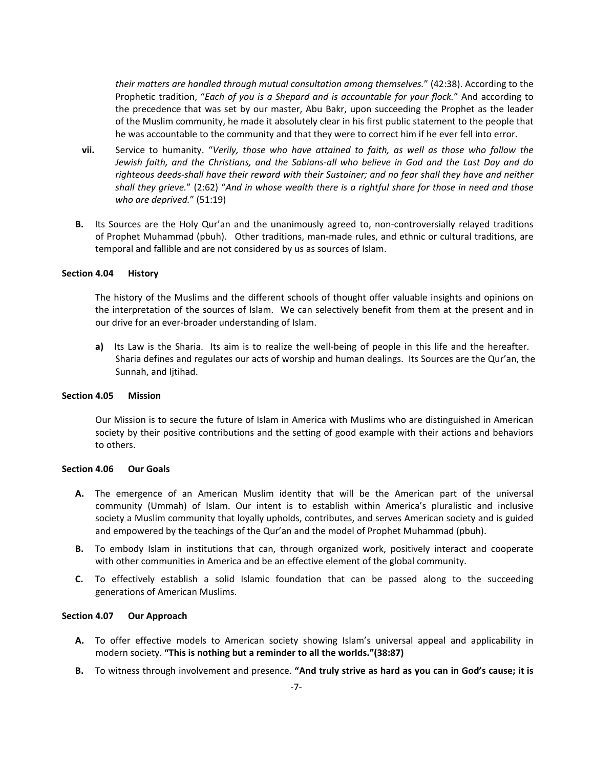*their matters are handled through mutual consultation among themselves.*" (42:38). According to the Prophetic tradition, "*Each of you is a Shepard and is accountable for your flock.*" And according to the precedence that was set by our master, Abu Bakr, upon succeeding the Prophet as the leader of the Muslim community, he made it absolutely clear in his first public statement to the people that he was accountable to the community and that they were to correct him if he ever fell into error.

- **vii.** Service to humanity. "*Verily, those who have attained to faith, as well as those who follow the Jewish faith, and the Christians, and the Sabians‐all who believe in God and the Last Day and do righteous deeds‐shall have their reward with their Sustainer; and no fear shallthey have and neither shall they grieve.*" (2:62) "*And in whose wealth there is a rightful share for those in need and those who are deprived.*" (51:19)
- **B.** Its Sources are the Holy Qur'an and the unanimously agreed to, non-controversially relayed traditions of Prophet Muhammad (pbuh). Other traditions, man-made rules, and ethnic or cultural traditions, are temporal and fallible and are not considered by us as sources of Islam.

#### **Section 4.04 History**

The history of the Muslims and the different schools of thought offer valuable insights and opinions on the interpretation of the sources of Islam. We can selectively benefit from them at the present and in our drive for an ever‐broader understanding of Islam.

**a)** Its Law is the Sharia. Its aim is to realize the well-being of people in this life and the hereafter. Sharia defines and regulates our acts of worship and human dealings. Its Sources are the Qur'an, the Sunnah, and Ijtihad.

## **Section 4.05 Mission**

Our Mission is to secure the future of Islam in America with Muslims who are distinguished in American society by their positive contributions and the setting of good example with their actions and behaviors to others.

### **Section 4.06 Our Goals**

- **A.** The emergence of an American Muslim identity that will be the American part of the universal community (Ummah) of Islam. Our intent is to establish within America's pluralistic and inclusive society a Muslim community that loyally upholds, contributes, and serves American society and is guided and empowered by the teachings of the Qur'an and the model of Prophet Muhammad (pbuh).
- **B.** To embody Islam in institutions that can, through organized work, positively interact and cooperate with other communities in America and be an effective element of the global community.
- **C.** To effectively establish a solid Islamic foundation that can be passed along to the succeeding generations of American Muslims.

#### **Section 4.07 Our Approach**

- **A.** To offer effective models to American society showing Islam's universal appeal and applicability in modern society. **"This is nothing but a reminder to all the worlds."(38:87)**
- **B.** To witness through involvement and presence. **"And truly strive as hard as you can in God'scause; it is**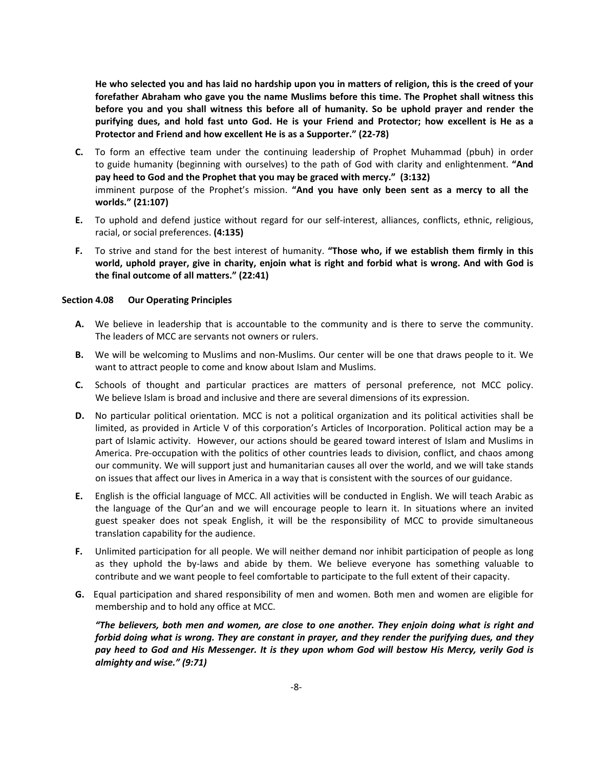He who selected you and has laid no hardship upon you in matters of religion, this is the creed of your **forefather Abraham who gave you the name Muslims before this time.The Prophet shall witness this before you and you shall witness this before all of humanity. So be uphold prayer and render the** purifying dues, and hold fast unto God. He is your Friend and Protector; how excellent is He as a **Protector and Friend and how excellent He is asa Supporter." (22‐78)**

- **C.** To form an effective team under the continuing leadership of Prophet Muhammad (pbuh) in order to guide humanity (beginning with ourselves) to the path of God with clarity and enlightenment. **"And pay heed to God and the Prophet that you may be graced with mercy." (3:132)** imminent purpose of the Prophet's mission. **"And you have only been sent as a mercy to all the worlds." (21:107)**
- **E.** To uphold and defend justice without regard for our self‐interest, alliances, conflicts, ethnic, religious, racial, or social preferences. **(4:135)**
- **F.** To strive and stand for the best interest of humanity. **"Those who, if we establish them firmly in this**  world, uphold prayer, give in charity, enjoin what is right and forbid what is wrong. And with God is **the final outcome of all matters." (22:41)**

## **Section 4.08 Our Operating Principles**

- **A.** We believe in leadership that is accountable to the community and is there to serve the community. The leaders of MCC are servants not owners or rulers.
- **B.** We will be welcoming to Muslims and non-Muslims. Our center will be one that draws people to it. We want to attract people to come and know about Islam and Muslims.
- **C.** Schools of thought and particular practices are matters of personal preference, not MCC policy. We believe Islam is broad and inclusive and there are several dimensions of its expression.
- **D.** No particular political orientation. MCC is not a political organization and its political activities shall be limited, as provided in Article V of this corporation's Articles of Incorporation. Political action may be a part of Islamic activity. However, our actions should be geared toward interest of Islam and Muslims in America. Pre‐occupation with the politics of other countries leads to division, conflict, and chaos among our community. We will support just and humanitarian causes all over the world, and we will take stands on issues that affect our lives in America in a way that is consistent with the sources of our guidance.
- **E.** English is the official language of MCC. All activities will be conducted in English. We will teach Arabic as the language of the Qur'an and we will encourage people to learn it. In situations where an invited guest speaker does not speak English, it will be the responsibility of MCC to provide simultaneous translation capability for the audience.
- **F.** Unlimited participation for all people. We will neither demand nor inhibit participation of people as long as they uphold the by-laws and abide by them. We believe everyone has something valuable to contribute and we want people to feel comfortable to participate to the full extent of their capacity.
- **G.**  Equal participation and shared responsibility of men and women. Both men and women are eligible for membership and to hold any office at MCC.

*"The believers, both men and women, are close to one another. They enjoin doing what is right and forbid doing what is wrong. They are constant in prayer, and they render the purifying dues, and they pay heed to God and His Messenger. It is they upon whom God will bestow His Mercy, verily God is almighty and wise." (9:71)*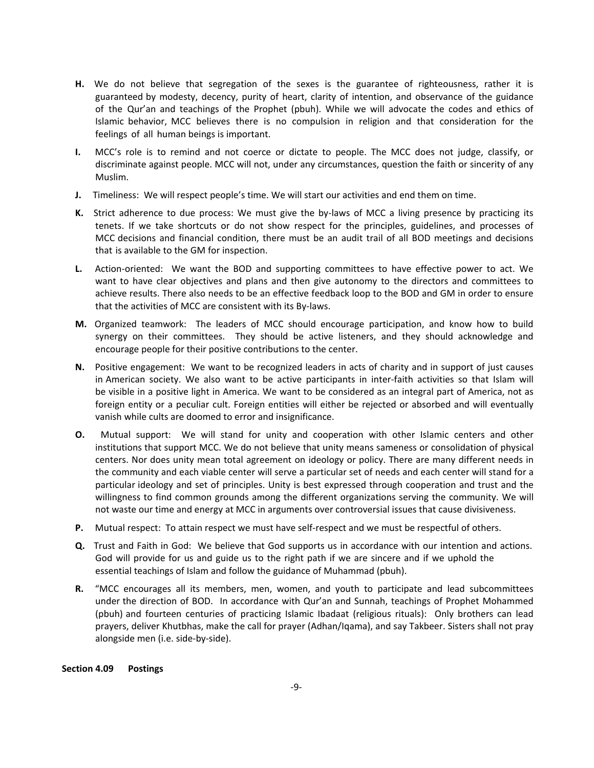- **H.**  We do not believe that segregation of the sexes is the guarantee of righteousness, rather it is guaranteed by modesty, decency, purity of heart, clarity of intention, and observance of the guidance of the Qur'an and teachings of the Prophet (pbuh). While we will advocate the codes and ethics of Islamic behavior, MCC believes there is no compulsion in religion and that consideration for the feelings of all human beings is important.
- **I.** MCC's role is to remind and not coerce or dictate to people. The MCC does not judge, classify, or discriminate against people. MCC will not, under any circumstances, question the faith or sincerity of any Muslim.
- **J.** Timeliness: We will respect people's time. We will start our activities and end them on time.
- K. Strict adherence to due process: We must give the by-laws of MCC a living presence by practicing its tenets. If we take shortcuts or do not show respect for the principles, guidelines, and processes of MCC decisions and financial condition, there must be an audit trail of all BOD meetings and decisions that is available to the GM for inspection.
- **L.** Action‐oriented: We want the BOD and supporting committees to have effective power to act. We want to have clear objectives and plans and then give autonomy to the directors and committees to achieve results. There also needs to be an effective feedback loop to the BOD and GM in order to ensure that the activities of MCC are consistent with its By‐laws.
- **M.** Organized teamwork: The leaders of MCC should encourage participation, and know how to build synergy on their committees. They should be active listeners, and they should acknowledge and encourage people for their positive contributions to the center.
- **N.** Positive engagement: We want to be recognized leaders in acts of charity and in support of just causes in American society. We also want to be active participants in inter-faith activities so that Islam will be visible in a positive light in America. We want to be considered as an integral part of America, not as foreign entity or a peculiar cult. Foreign entities will either be rejected or absorbed and will eventually vanish while cults are doomed to error and insignificance.
- **O.** Mutual support: We will stand for unity and cooperation with other Islamic centers and other institutions that support MCC. We do not believe that unity means sameness or consolidation of physical centers. Nor does unity mean total agreement on ideology or policy. There are many different needs in the community and each viable center will serve a particular set of needs and each center will stand for a particular ideology and set of principles. Unity is best expressed through cooperation and trust and the willingness to find common grounds among the different organizations serving the community. We will not waste our time and energy at MCC in arguments over controversial issues that cause divisiveness.
- **P.** Mutual respect: To attain respect we must have self-respect and we must be respectful of others.
- **Q.**  Trust and Faith in God: We believe that God supports us in accordance with our intention and actions. God will provide for us and guide us to the right path if we are sincere and if we uphold the essential teachings of Islam and follow the guidance of Muhammad (pbuh).
- **R.** "MCC encourages all its members, men, women, and youth to participate and lead subcommittees under the direction of BOD. In accordance with Qur'an and Sunnah, teachings of Prophet Mohammed (pbuh) and fourteen centuries of practicing Islamic Ibadaat (religious rituals): Only brothers can lead prayers, deliver Khutbhas, make the call for prayer (Adhan/Iqama), and say Takbeer. Sisters shall not pray alongside men (i.e. side‐by‐side).

#### **Section 4.09 Postings**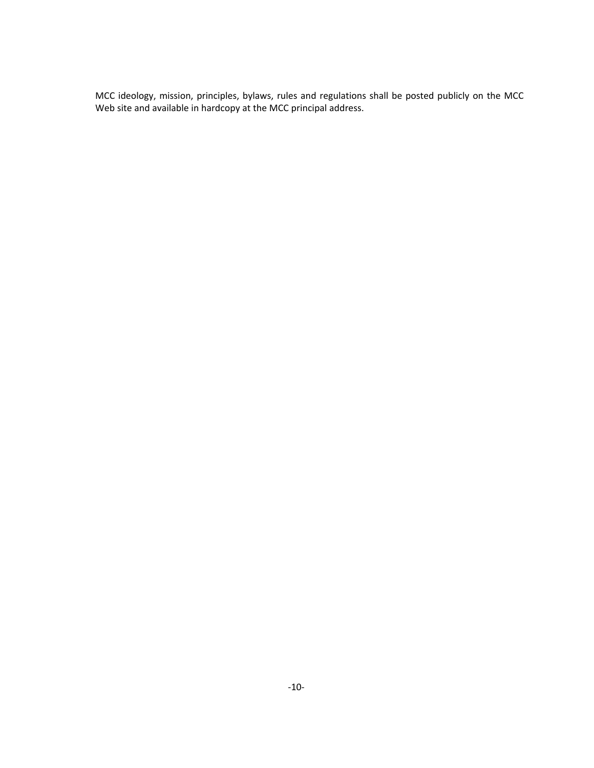MCC ideology, mission, principles, bylaws, rules and regulations shall be posted publicly on the MCC Web site and available in hardcopy at the MCC principal address.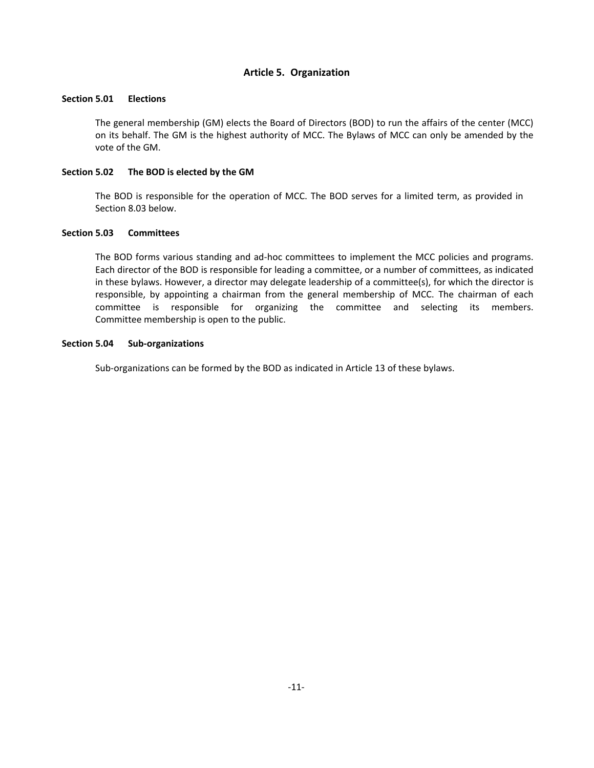## **Article 5. Organization**

## **Section 5.01 Elections**

The general membership (GM) elects the Board of Directors (BOD) to run the affairs of the center (MCC) on its behalf. The GM is the highest authority of MCC. The Bylaws of MCC can only be amended by the vote of the GM.

## **Section 5.02 The BOD is elected by the GM**

The BOD is responsible for the operation of MCC. The BOD serves for a limited term, as provided in Section 8.03 below.

## **Section 5.03 Committees**

The BOD forms various standing and ad-hoc committees to implement the MCC policies and programs. Each director of the BOD is responsible for leading a committee, or a number of committees, as indicated in these bylaws. However, a director may delegate leadership of a committee(s), for which the director is responsible, by appointing a chairman from the general membership of MCC. The chairman of each committee is responsible for organizing the committee and selecting its members. Committee membership is open to the public.

## **Section 5.04 Sub‐organizations**

Sub-organizations can be formed by the BOD as indicated in Article 13 of these bylaws.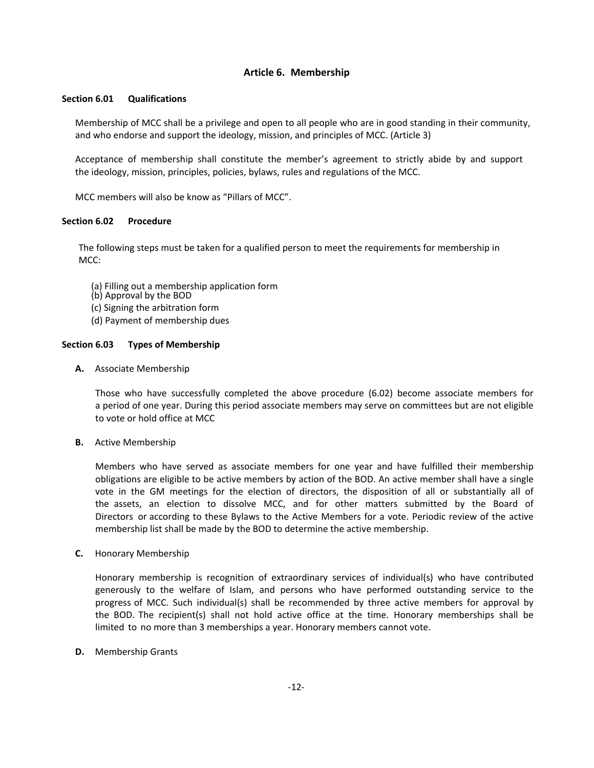## **Article 6. Membership**

## **Section 6.01 Qualifications**

Membership of MCC shall be a privilege and open to all people who are in good standing in their community, and who endorse and support the ideology, mission, and principles of MCC. (Article 3)

Acceptance of membership shall constitute the member's agreement to strictly abide by and support the ideology, mission, principles, policies, bylaws, rules and regulations of the MCC.

MCC members will also be know as "Pillars of MCC".

## **Section 6.02 Procedure**

The following steps must be taken for a qualified person to meet the requirements for membership in MCC:

- (a) Filling out a membership application form
- (b) Approval by the BOD
- (c) Signing the arbitration form
- (d) Payment of membership dues

## **Section 6.03 Types of Membership**

**A.** Associate Membership

Those who have successfully completed the above procedure (6.02) become associate members for a period of one year. During this period associate members may serve on committees but are not eligible to vote or hold office at MCC

**B.** Active Membership

Members who have served as associate members for one year and have fulfilled their membership obligations are eligible to be active members by action of the BOD. An active member shall have a single vote in the GM meetings for the election of directors, the disposition of all or substantially all of the assets, an election to dissolve MCC, and for other matters submitted by the Board of Directors or according to these Bylaws to the Active Members for a vote. Periodic review of the active membership list shall be made by the BOD to determine the active membership.

**C.** Honorary Membership

Honorary membership is recognition of extraordinary services of individual(s) who have contributed generously to the welfare of Islam, and persons who have performed outstanding service to the progress of MCC. Such individual(s) shall be recommended by three active members for approval by the BOD. The recipient(s) shall not hold active office at the time. Honorary memberships shall be limited to no more than 3 memberships a year. Honorary members cannot vote.

**D.** Membership Grants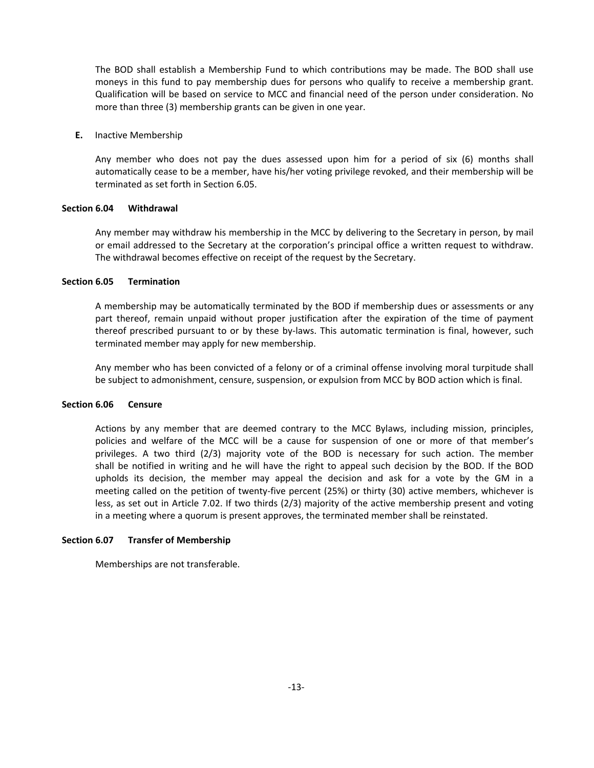The BOD shall establish a Membership Fund to which contributions may be made. The BOD shall use moneys in this fund to pay membership dues for persons who qualify to receive a membership grant. Qualification will be based on service to MCC and financial need of the person under consideration. No more than three (3) membership grants can be given in one year.

#### **E.** Inactive Membership

Any member who does not pay the dues assessed upon him for a period of six (6) months shall automatically cease to be a member, have his/her voting privilege revoked, and their membership will be terminated as set forth in Section 6.05.

## **Section 6.04 Withdrawal**

Any member may withdraw his membership in the MCC by delivering to the Secretary in person, by mail or email addressed to the Secretary at the corporation's principal office a written request to withdraw. The withdrawal becomes effective on receipt of the request by the Secretary.

## **Section 6.05 Termination**

A membership may be automatically terminated by the BOD if membership dues or assessments or any part thereof, remain unpaid without proper justification after the expiration of the time of payment thereof prescribed pursuant to or by these by-laws. This automatic termination is final, however, such terminated member may apply for new membership.

Any member who has been convicted of a felony or of a criminal offense involving moral turpitude shall be subject to admonishment, censure, suspension, or expulsion from MCC by BOD action which is final.

## **Section 6.06 Censure**

Actions by any member that are deemed contrary to the MCC Bylaws, including mission, principles, policies and welfare of the MCC will be a cause for suspension of one or more of that member's privileges. A two third (2/3) majority vote of the BOD is necessary for such action. The member shall be notified in writing and he will have the right to appeal such decision by the BOD. If the BOD upholds its decision, the member may appeal the decision and ask for a vote by the GM in a meeting called on the petition of twenty-five percent (25%) or thirty (30) active members, whichever is less, as set out in Article 7.02. If two thirds(2/3) majority of the active membership present and voting in a meeting where a quorum is present approves, the terminated member shall be reinstated.

#### **Section 6.07 Transfer of Membership**

Memberships are not transferable.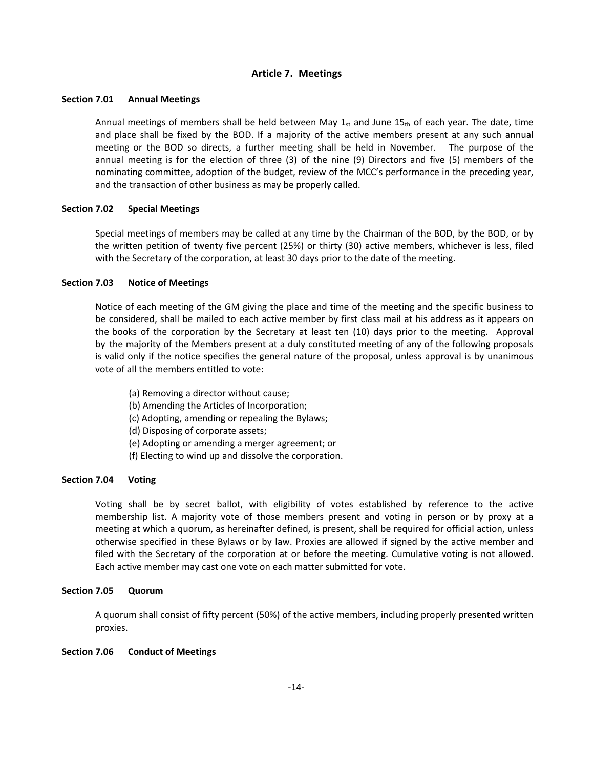## **Article 7. Meetings**

## **Section 7.01 Annual Meetings**

Annual meetings of members shall be held between May  $1_{st}$  and June 15th of each year. The date, time and place shall be fixed by the BOD. If a majority of the active members present at any such annual meeting or the BOD so directs, a further meeting shall be held in November. The purpose of the annual meeting is for the election of three (3) of the nine (9) Directors and five (5) members of the nominating committee, adoption of the budget, review of the MCC's performance in the preceding year, and the transaction of other business as may be properly called.

## **Section 7.02 Special Meetings**

Special meetings of members may be called at any time by the Chairman of the BOD, by the BOD, or by the written petition of twenty five percent (25%) or thirty (30) active members, whichever is less, filed with the Secretary of the corporation, at least 30 days prior to the date of the meeting.

## **Section 7.03 Notice of Meetings**

Notice of each meeting of the GM giving the place and time of the meeting and the specific business to be considered, shall be mailed to each active member by first class mail at his address as it appears on the books of the corporation by the Secretary at least ten (10) days prior to the meeting. Approval by the majority of the Members present at a duly constituted meeting of any of the following proposals is valid only if the notice specifies the general nature of the proposal, unless approval is by unanimous vote of all the members entitled to vote:

- (a) Removing a director without cause;
- (b) Amending the Articles of Incorporation;
- (c) Adopting, amending or repealing the Bylaws;
- (d) Disposing of corporate assets;
- (e) Adopting or amending a merger agreement; or
- (f) Electing to wind up and dissolve the corporation.

#### **Section 7.04 Voting**

Voting shall be by secret ballot, with eligibility of votes established by reference to the active membership list. A majority vote of those members present and voting in person or by proxy at a meeting at which a quorum, as hereinafter defined, is present, shall be required for official action, unless otherwise specified in these Bylaws or by law. Proxies are allowed if signed by the active member and filed with the Secretary of the corporation at or before the meeting. Cumulative voting is not allowed. Each active member may cast one vote on each matter submitted for vote.

## **Section 7.05 Quorum**

A quorum shall consist of fifty percent (50%) of the active members, including properly presented written proxies.

#### **Section 7.06 Conduct of Meetings**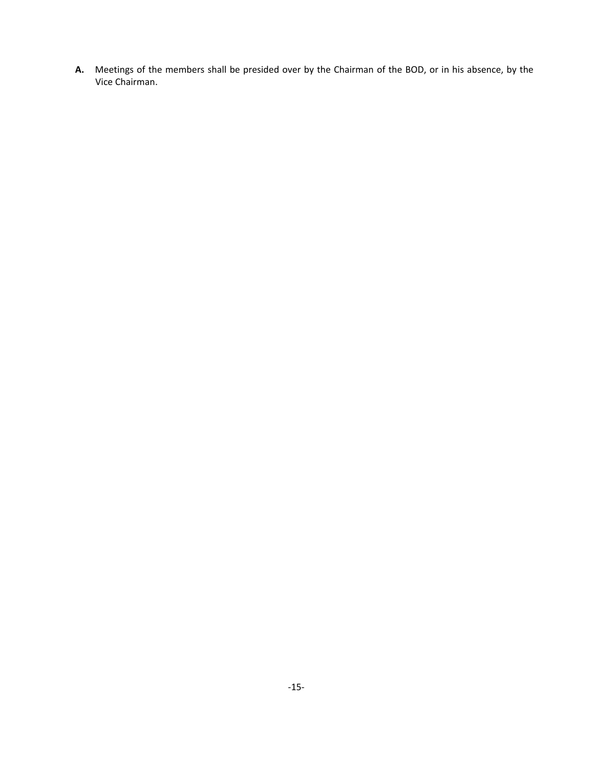**A.** Meetings of the members shall be presided over by the Chairman of the BOD, or in his absence, by the Vice Chairman.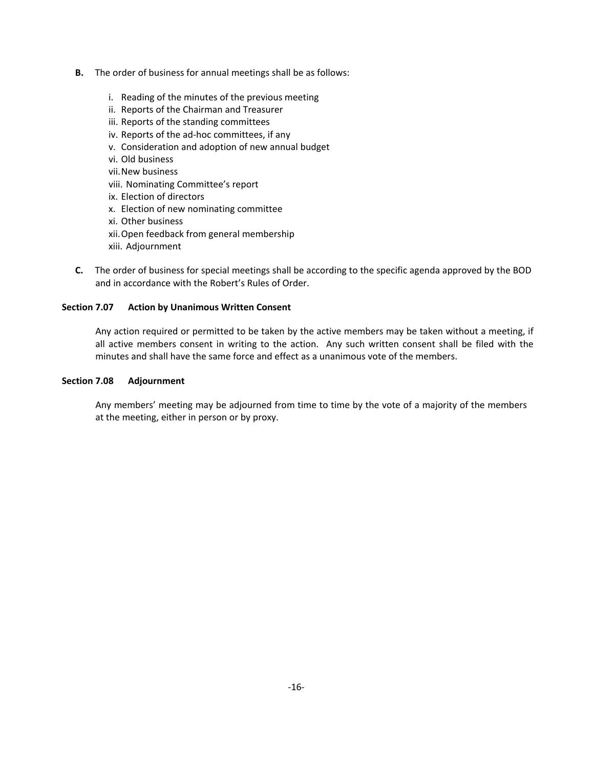- **B.** The order of business for annual meetings shall be as follows:
	- i. Reading of the minutes of the previous meeting
	- ii. Reports of the Chairman and Treasurer
	- iii. Reports of the standing committees
	- iv. Reports of the ad‐hoc committees, if any
	- v. Consideration and adoption of new annual budget
	- vi. Old business
	- vii.New business
	- viii. Nominating Committee's report
	- ix. Election of directors
	- x. Election of new nominating committee
	- xi. Other business
	- xii.Open feedback from general membership
	- xiii. Adjournment
- **C.** The order of business for special meetings shall be according to the specific agenda approved by the BOD and in accordance with the Robert's Rules of Order.

## **Section 7.07 Action by Unanimous Written Consent**

Any action required or permitted to be taken by the active members may be taken without a meeting, if all active members consent in writing to the action. Any such written consent shall be filed with the minutes and shall have the same force and effect as a unanimous vote of the members.

## **Section 7.08 Adjournment**

Any members' meeting may be adjourned from time to time by the vote of a majority of the members at the meeting, either in person or by proxy.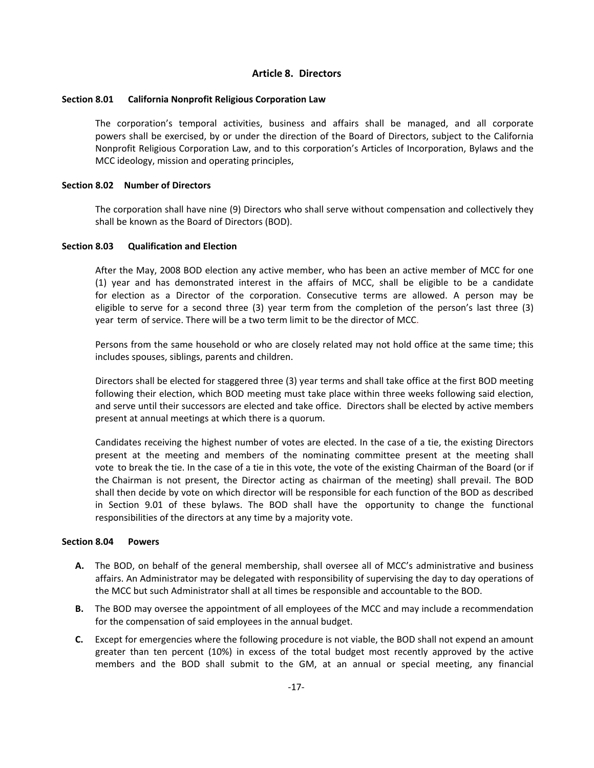## **Article 8. Directors**

## **Section 8.01 California Nonprofit Religious Corporation Law**

The corporation's temporal activities, business and affairs shall be managed, and all corporate powers shall be exercised, by or under the direction of the Board of Directors, subject to the California Nonprofit Religious Corporation Law, and to this corporation's Articles of Incorporation, Bylaws and the MCC ideology, mission and operating principles,

## **Section 8.02 Number of Directors**

The corporation shall have nine (9) Directors who shall serve without compensation and collectively they shall be known as the Board of Directors (BOD).

#### **Section 8.03 Qualification and Election**

After the May, 2008 BOD election any active member, who has been an active member of MCC for one (1) year and has demonstrated interestin the affairs of MCC, shall be eligible to be a candidate for election as a Director of the corporation. Consecutive terms are allowed. A person may be eligible to serve for a second three (3) year term from the completion of the person's last three (3) year term of service. There will be a two term limit to be the director of MCC.

Persons from the same household or who are closely related may not hold office at the same time; this includes spouses, siblings, parents and children.

Directors shall be elected for staggered three (3) year terms and shall take office at the first BOD meeting following their election, which BOD meeting must take place within three weeks following said election, and serve until their successors are elected and take office. Directors shall be elected by active members present at annual meetings atwhich there is a quorum.

Candidates receiving the highest number of votes are elected. In the case of a tie, the existing Directors present at the meeting and members of the nominating committee present at the meeting shall vote to break the tie. In the case of a tie in this vote, the vote of the existing Chairman of the Board (or if the Chairman is not present, the Director acting as chairman of the meeting) shall prevail. The BOD shall then decide by vote on which director will be responsible for each function of the BOD as described in Section 9.01 of these bylaws. The BOD shall have the opportunity to change the functional responsibilities of the directors at any time by a majority vote.

### **Section 8.04 Powers**

- **A.** The BOD, on behalf of the general membership, shall oversee all of MCC's administrative and business affairs. An Administrator may be delegated with responsibility of supervising the day to day operations of the MCC but such Administrator shall at all times be responsible and accountable to the BOD.
- **B.** The BOD may oversee the appointment of all employees of the MCC and may include a recommendation for the compensation of said employees in the annual budget.
- **C.** Except for emergencies where the following procedure is not viable, the BOD shall not expend an amount greater than ten percent (10%) in excess of the total budget most recently approved by the active members and the BOD shall submit to the GM, at an annual or special meeting, any financial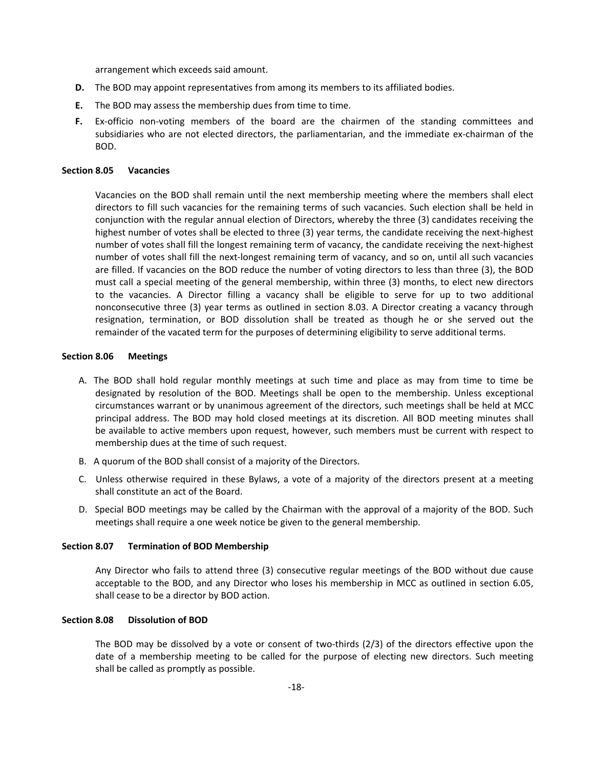arrangement which exceeds said amount.

- **D.** The BOD may appoint representatives from among its members to its affiliated bodies.
- **E.** The BOD may assess the membership dues from time to time.
- **F.** Ex-officio non-voting members of the board are the chairmen of the standing committees and subsidiaries who are not elected directors, the parliamentarian, and the immediate ex‐chairman of the BOD.

## **Section 8.05 Vacancies**

Vacancies on the BOD shall remain until the next membership meeting where the members shall elect directors to fill such vacancies for the remaining terms of such vacancies. Such election shall be held in conjunction with the regular annual election of Directors, whereby the three (3) candidates receiving the highest number of votes shall be elected to three (3) year terms, the candidate receiving the next-highest number of votes shall fill the longest remaining term of vacancy, the candidate receiving the next‐highest number of votes shall fill the next‐longest remaining term of vacancy, and so on, until all such vacancies are filled. If vacancies on the BOD reduce the number of voting directors to less than three (3), the BOD must call a special meeting of the general membership, within three (3) months, to elect new directors to the vacancies. A Director filling a vacancy shall be eligible to serve for up to two additional nonconsecutive three (3) year terms as outlined in section 8.03. A Director creating a vacancy through resignation, termination, or BOD dissolution shall be treated as though he or she served out the remainder of the vacated term for the purposes of determining eligibility to serve additional terms.

## **Section 8.06 Meetings**

- A. The BOD shall hold regular monthly meetings at such time and place as may from time to time be designated by resolution of the BOD. Meetings shall be open to the membership. Unless exceptional circumstances warrant or by unanimous agreement of the directors, such meetings shall be held at MCC principal address. The BOD may hold closed meetings at its discretion. All BOD meeting minutes shall be available to active members upon request, however, such members must be current with respect to membership dues at the time of such request.
- B. A quorum of the BOD shall consist of a majority of the Directors.
- C. Unless otherwise required in these Bylaws, a vote of a majority of the directors present at a meeting shall constitute an act of the Board.
- D. Special BOD meetings may be called by the Chairman with the approval of a majority of the BOD. Such meetings shall require a one week notice be given to the general membership.

#### **Section 8.07 Termination of BOD Membership**

Any Director who fails to attend three (3) consecutive regular meetings of the BOD without due cause acceptable to the BOD, and any Director who loses his membership in MCC as outlined in section 6.05, shall cease to be a director by BOD action.

#### **Section 8.08 Dissolution of BOD**

The BOD may be dissolved by a vote or consent of two-thirds (2/3) of the directors effective upon the date of a membership meeting to be called for the purpose of electing new directors. Such meeting shall be called as promptly as possible.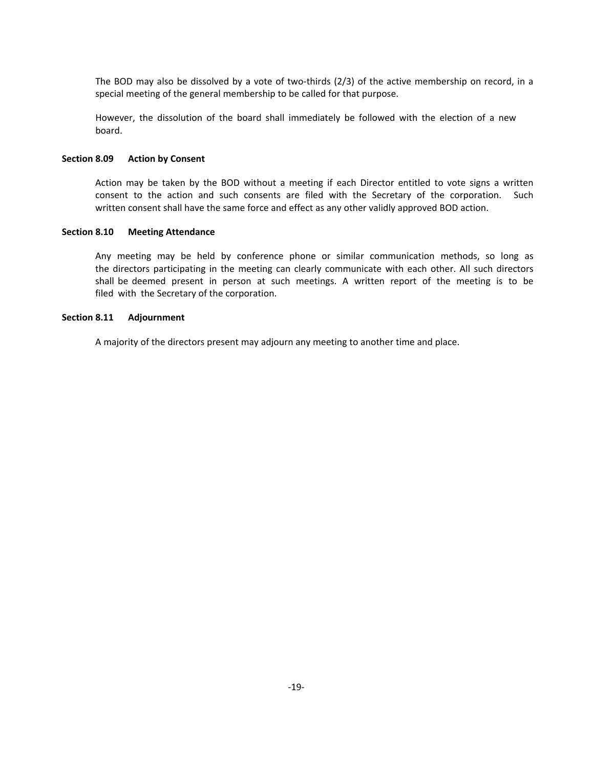The BOD may also be dissolved by a vote of two-thirds  $(2/3)$  of the active membership on record, in a special meeting of the general membership to be called for that purpose.

However, the dissolution of the board shall immediately be followed with the election of a new board.

#### **Section 8.09 Action by Consent**

Action may be taken by the BOD without a meeting if each Director entitled to vote signs a written consent to the action and such consents are filed with the Secretary of the corporation. Such written consent shall have the same force and effect as any other validly approved BOD action.

## **Section 8.10 Meeting Attendance**

Any meeting may be held by conference phone or similar communication methods, so long as the directors participating in the meeting can clearly communicate with each other. All such directors shall be deemed present in person at such meetings. A written report of the meeting is to be filed with the Secretary of the corporation.

## **Section 8.11 Adjournment**

A majority of the directors present may adjourn any meeting to another time and place.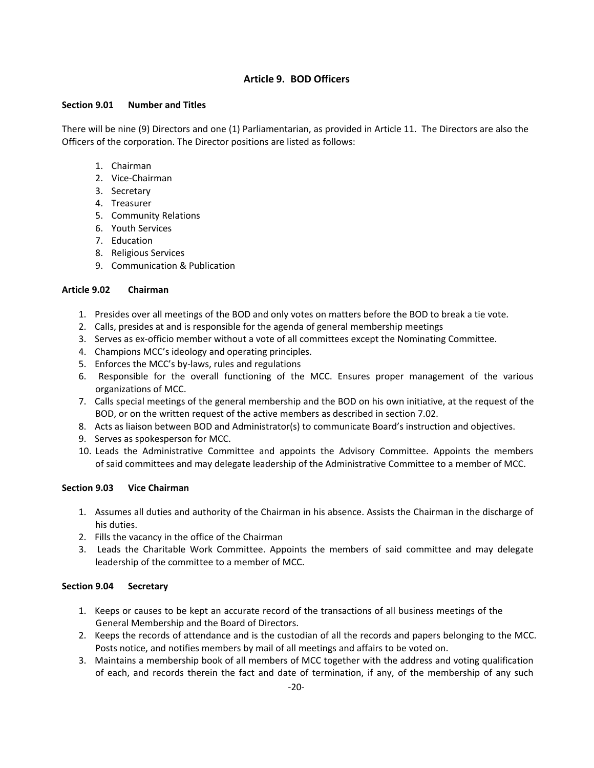## **Article 9. BOD Officers**

## **Section 9.01 Number and Titles**

There will be nine (9) Directors and one (1) Parliamentarian, as provided in Article 11. The Directors are also the Officers of the corporation. The Director positions are listed as follows:

- 1. Chairman
- 2. Vice‐Chairman
- 3. Secretary
- 4. Treasurer
- 5. Community Relations
- 6. Youth Services
- 7. Education
- 8. Religious Services
- 9. Communication & Publication

## **Article 9.02 Chairman**

- 1. Presides over all meetings of the BOD and only votes on matters before the BOD to break a tie vote.
- 2. Calls, presides at and is responsible for the agenda of general membership meetings
- 3. Serves as ex-officio member without a vote of all committees except the Nominating Committee.
- 4. Champions MCC's ideology and operating principles.
- 5. Enforces the MCC's by-laws, rules and regulations
- 6. Responsible for the overall functioning of the MCC. Ensures proper management of the various organizations of MCC.
- 7. Calls special meetings of the general membership and the BOD on his own initiative, at the request of the BOD, or on the written request of the active members as described in section 7.02.
- 8. Acts as liaison between BOD and Administrator(s) to communicate Board's instruction and objectives.
- 9. Serves as spokesperson for MCC.
- 10. Leads the Administrative Committee and appoints the Advisory Committee. Appoints the members of said committees and may delegate leadership of the Administrative Committee to a member of MCC.

## **Section 9.03 Vice Chairman**

- 1. Assumes all duties and authority of the Chairman in his absence. Assists the Chairman in the discharge of his duties.
- 2. Fills the vacancy in the office of the Chairman
- 3. Leads the Charitable Work Committee. Appoints the members of said committee and may delegate leadership of the committee to a member of MCC.

## **Section 9.04 Secretary**

- 1. Keeps or causes to be kept an accurate record of the transactions of all business meetings of the General Membership and the Board of Directors.
- 2. Keeps the records of attendance and is the custodian of all the records and papers belonging to the MCC. Posts notice, and notifies members by mail of all meetings and affairs to be voted on.
- 3. Maintains a membership book of all members of MCC together with the address and voting qualification of each, and records therein the fact and date of termination, if any, of the membership of any such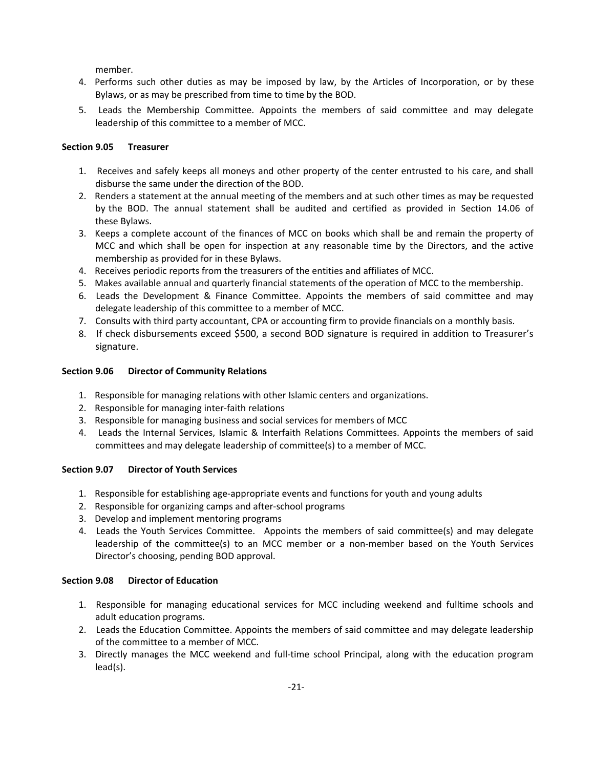member.

- 4. Performs such other duties as may be imposed by law, by the Articles of Incorporation, or by these Bylaws, or as may be prescribed from time to time by the BOD.
- 5. Leads the Membership Committee. Appoints the members of said committee and may delegate leadership of this committee to a member of MCC.

## **Section 9.05 Treasurer**

- 1. Receives and safely keeps all moneys and other property of the center entrusted to his care, and shall disburse the same under the direction of the BOD.
- 2. Renders a statement at the annual meeting of the members and at such other times as may be requested by the BOD. The annual statement shall be audited and certified as provided in Section 14.06 of these Bylaws.
- 3. Keeps a complete account of the finances of MCC on books which shall be and remain the property of MCC and which shall be open for inspection at any reasonable time by the Directors, and the active membership as provided for in these Bylaws.
- 4. Receives periodic reports from the treasurers of the entities and affiliates of MCC.
- 5. Makes available annual and quarterly financial statements of the operation of MCC to the membership.
- 6. Leads the Development & Finance Committee. Appoints the members of said committee and may delegate leadership of this committee to a member of MCC.
- 7. Consults with third party accountant, CPA or accounting firm to provide financials on a monthly basis.
- 8. If check disbursements exceed \$500, a second BOD signature is required in addition to Treasurer's signature.

## **Section 9.06 Director of Community Relations**

- 1. Responsible for managing relations with other Islamic centers and organizations.
- 2. Responsible for managing inter-faith relations
- 3. Responsible for managing business and social services for members of MCC
- 4. Leads the Internal Services, Islamic & Interfaith Relations Committees. Appoints the members of said committees and may delegate leadership of committee(s) to a member of MCC.

## **Section 9.07 Director of Youth Services**

- 1. Responsible for establishing age-appropriate events and functions for youth and young adults
- 2. Responsible for organizing camps and after‐school programs
- 3. Develop and implement mentoring programs
- 4. Leads the Youth Services Committee. Appoints the members of said committee(s) and may delegate leadership of the committee(s) to an MCC member or a non-member based on the Youth Services Director's choosing, pending BOD approval.

## **Section 9.08 Director of Education**

- 1. Responsible for managing educational services for MCC including weekend and fulltime schools and adult education programs.
- 2. Leads the Education Committee. Appoints the members of said committee and may delegate leadership of the committee to a member of MCC.
- 3. Directly manages the MCC weekend and full‐time school Principal, along with the education program lead(s).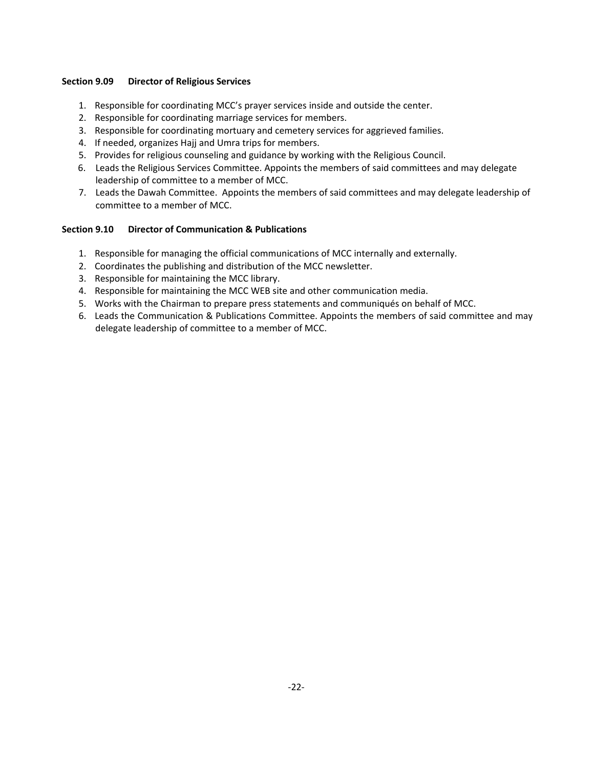## **Section 9.09 Director of Religious Services**

- 1. Responsible for coordinating MCC's prayer services inside and outside the center.
- 2. Responsible for coordinating marriage services for members.
- 3. Responsible for coordinating mortuary and cemetery services for aggrieved families.
- 4. If needed, organizes Hajj and Umra trips for members.
- 5. Provides for religious counseling and guidance by working with the Religious Council.
- 6. Leads the Religious Services Committee. Appoints the members of said committees and may delegate leadership of committee to a member of MCC.
- 7. Leads the Dawah Committee. Appoints the members of said committees and may delegate leadership of committee to a member of MCC.

## **Section 9.10 Director of Communication & Publications**

- 1. Responsible for managing the official communications of MCC internally and externally.
- 2. Coordinates the publishing and distribution of the MCC newsletter.
- 3. Responsible for maintaining the MCC library.
- 4. Responsible for maintaining the MCC WEB site and other communication media.
- 5. Works with the Chairman to prepare press statements and communiqués on behalf of MCC.
- 6. Leads the Communication & Publications Committee. Appoints the members of said committee and may delegate leadership of committee to a member of MCC.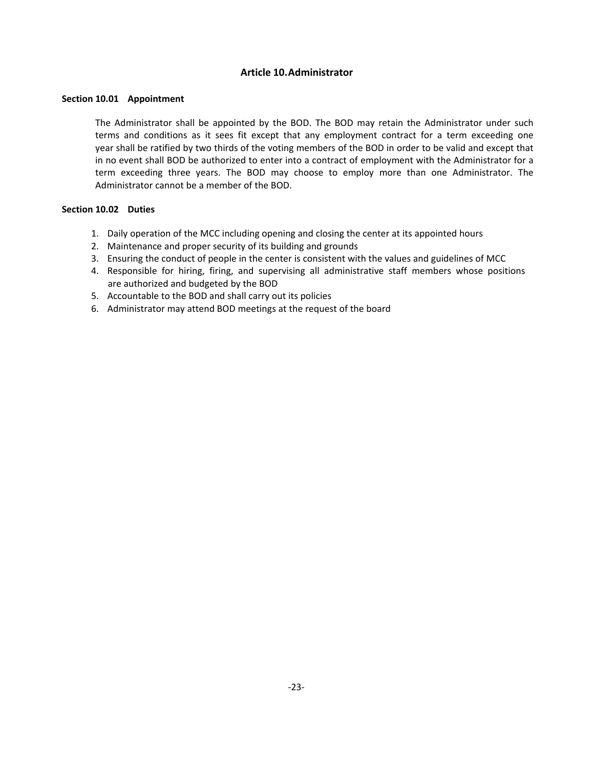## **Article 10.Administrator**

## **Section 10.01 Appointment**

The Administrator shall be appointed by the BOD. The BOD may retain the Administrator under such terms and conditions as it sees fit except that any employment contract for a term exceeding one year shall be ratified by two thirds of the voting members of the BOD in order to be valid and except that in no event shall BOD be authorized to enter into a contract of employment with the Administrator for a term exceeding three years. The BOD may choose to employ more than one Administrator. The Administrator cannot be a member of the BOD.

## **Section 10.02 Duties**

- 1. Daily operation of the MCC including opening and closing the centerat its appointed hours
- 2. Maintenance and proper security of its building and grounds
- 3. Ensuring the conduct of people in the center is consistent with the values and guidelines of MCC
- 4. Responsible for hiring, firing, and supervising all administrative staff members whose positions are authorized and budgeted by the BOD
- 5. Accountable to the BOD and shall carry out its policies
- 6. Administrator may attend BOD meetings at the request of the board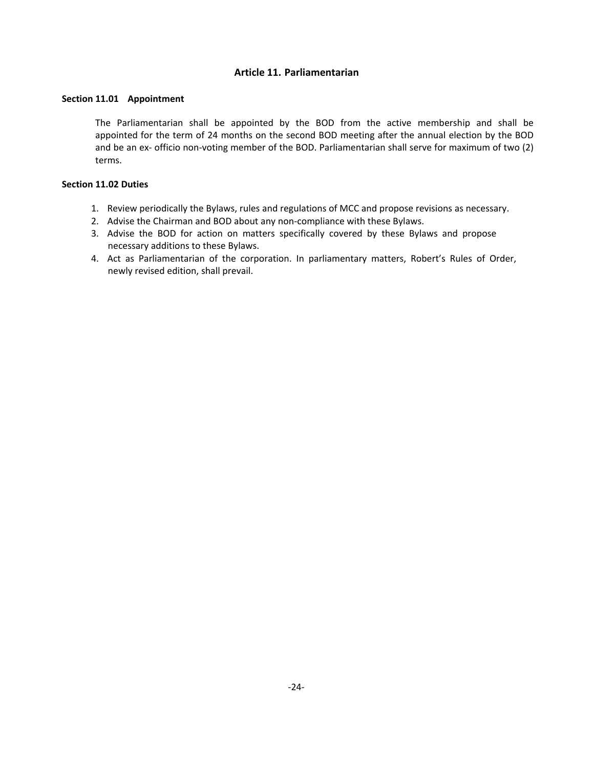## **Article 11. Parliamentarian**

## **Section 11.01 Appointment**

The Parliamentarian shall be appointed by the BOD from the active membership and shall be appointed for the term of 24 months on the second BOD meeting after the annual election by the BOD and be an ex‐ officio non‐voting member of the BOD. Parliamentarian shall serve for maximum of two (2) terms.

## **Section 11.02 Duties**

- 1. Review periodically the Bylaws, rules and regulations of MCC and propose revisions as necessary.
- 2. Advise the Chairman and BOD about any non-compliance with these Bylaws.
- 3. Advise the BOD for action on matters specifically covered by these Bylaws and propose necessary additions to these Bylaws.
- 4. Act as Parliamentarian of the corporation. In parliamentary matters, Robert's Rules of Order, newly revised edition, shall prevail.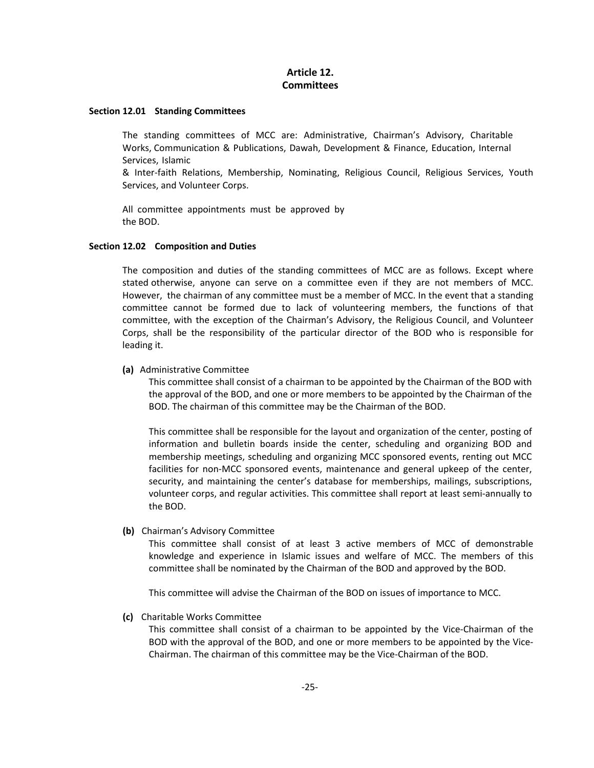## **Article 12. Committees**

#### **Section 12.01 Standing Committees**

The standing committees of MCC are: Administrative, Chairman's Advisory, Charitable Works, Communication & Publications, Dawah, Development & Finance, Education, Internal Services, Islamic

& Inter‐faith Relations, Membership, Nominating, Religious Council, Religious Services, Youth Services, and Volunteer Corps.

All committee appointments must be approved by the BOD.

#### **Section 12.02 Composition and Duties**

The composition and duties of the standing committees of MCC are as follows. Except where stated otherwise, anyone can serve on a committee even if they are not members of MCC. However, the chairman of any committee must be a member of MCC. In the event that a standing committee cannot be formed due to lack of volunteering members, the functions of that committee, with the exception of the Chairman's Advisory, the Religious Council, and Volunteer Corps, shall be the responsibility of the particular director of the BOD who is responsible for leading it.

#### **(a)** Administrative Committee

This committee shall consist of a chairman to be appointed by the Chairman of the BOD with the approval of the BOD, and one or more members to be appointed by the Chairman of the BOD. The chairman of this committee may be the Chairman of the BOD.

This committee shall be responsible for the layout and organization of the center, posting of information and bulletin boards inside the center, scheduling and organizing BOD and membership meetings, scheduling and organizing MCC sponsored events, renting out MCC facilities for non-MCC sponsored events, maintenance and general upkeep of the center, security, and maintaining the center's database for memberships, mailings, subscriptions, volunteer corps, and regular activities. This committee shall report at least semi‐annually to the BOD.

#### **(b)**  Chairman's Advisory Committee

This committee shall consist of at least 3 active members of MCC of demonstrable knowledge and experience in Islamic issues and welfare of MCC. The members of this committee shall be nominated by the Chairman of the BOD and approved by the BOD.

This committee will advise the Chairman of the BOD on issues of importance to MCC.

## **(c)**  Charitable Works Committee

This committee shall consist of a chairman to be appointed by the Vice‐Chairman of the BOD with the approval of the BOD, and one or more members to be appointed by the Vice‐ Chairman. The chairman of this committee may be the Vice‐Chairman of the BOD.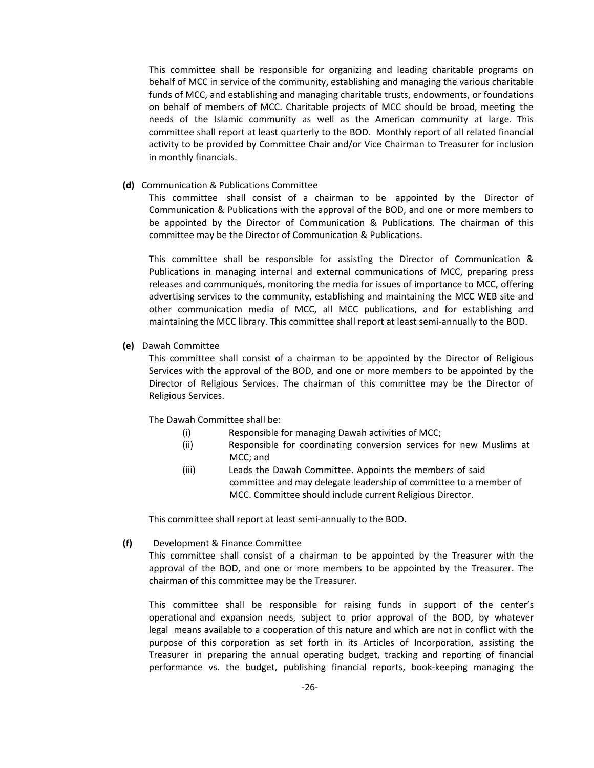This committee shall be responsible for organizing and leading charitable programs on behalf of MCC in service of the community, establishing and managing the various charitable funds of MCC, and establishing and managing charitable trusts, endowments, or foundations on behalf of members of MCC. Charitable projects of MCC should be broad, meeting the needs of the Islamic community as well as the American community at large. This committee shall report at least quarterly to the BOD. Monthly report of all related financial activity to be provided by Committee Chair and/or Vice Chairman to Treasurer for inclusion in monthly financials.

**(d)**  Communication & Publications Committee

This committee shall consist of a chairman to be appointed by the Director of Communication & Publications with the approval of the BOD, and one or more members to be appointed by the Director of Communication & Publications. The chairman of this committee may be the Director of Communication & Publications.

This committee shall be responsible for assisting the Director of Communication & Publications in managing internal and external communications of MCC, preparing press releases and communiqués, monitoring the media for issues of importance to MCC, offering advertising services to the community, establishing and maintaining the MCC WEB site and other communication media of MCC, all MCC publications, and for establishing and maintaining the MCC library. This committee shall report at least semi-annually to the BOD.

## **(e)**  Dawah Committee

This committee shall consist of a chairman to be appointed by the Director of Religious Services with the approval of the BOD, and one or more members to be appointed by the Director of Religious Services. The chairman of this committee may be the Director of Religious Services.

The Dawah Committee shall be:

- (i) Responsible for managing Dawah activities of MCC;
- (ii) Responsible for coordinating conversion services for new Muslims at MCC; and
- (iii) Leads the Dawah Committee. Appoints the members of said committee and may delegate leadership of committee to a member of MCC. Committee should include current Religious Director.

This committee shall report at least semi‐annually to the BOD.

**(f)** Development & Finance Committee

This committee shall consist of a chairman to be appointed by the Treasurer with the approval of the BOD, and one or more members to be appointed by the Treasurer. The chairman of this committee may be the Treasurer.

This committee shall be responsible for raising funds in support of the center's operational and expansion needs, subject to prior approval of the BOD, by whatever legal means available to a cooperation of this nature and which are not in conflict with the purpose of this corporation as set forth in its Articles of Incorporation, assisting the Treasurer in preparing the annual operating budget, tracking and reporting of financial performance vs. the budget, publishing financial reports, book-keeping managing the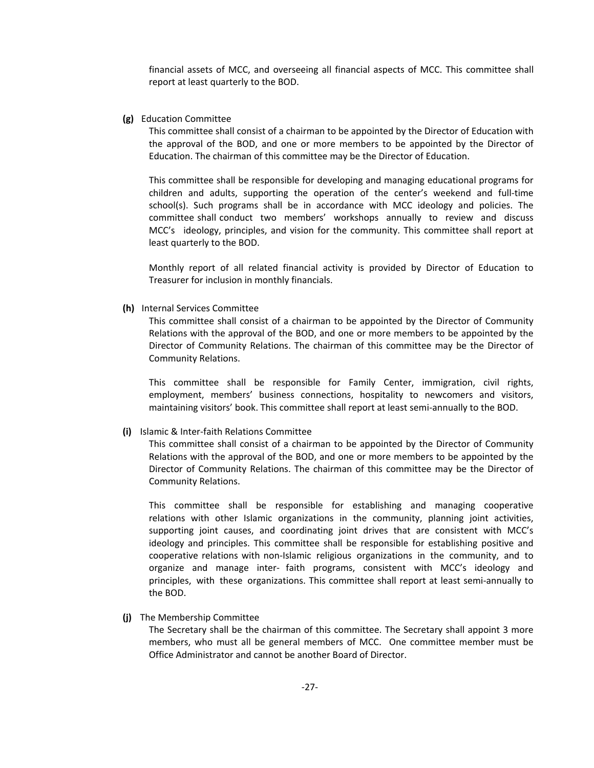financial assets of MCC, and overseeing all financial aspects of MCC. This committee shall report at least quarterly to the BOD.

#### **(g)**  Education Committee

This committee shall consist of a chairman to be appointed by the Director of Education with the approval of the BOD, and one or more members to be appointed by the Director of Education. The chairman of this committee may be the Director of Education.

This committee shall be responsible for developing and managing educational programs for children and adults, supporting the operation of the center's weekend and full‐time school(s). Such programs shall be in accordance with MCC ideology and policies. The committee shall conduct two members' workshops annually to review and discuss MCC's ideology, principles, and vision for the community. This committee shall report at least quarterly to the BOD.

Monthly report of all related financial activity is provided by Director of Education to Treasurer for inclusion in monthly financials.

#### **(h)**  Internal Services Committee

This committee shall consist of a chairman to be appointed by the Director of Community Relations with the approval of the BOD, and one or more members to be appointed by the Director of Community Relations. The chairman of this committee may be the Director of Community Relations.

This committee shall be responsible for Family Center, immigration, civil rights, employment, members' business connections, hospitality to newcomers and visitors, maintaining visitors' book. This committee shall report at least semi‐annually to the BOD.

#### **(i)** Islamic & Inter‐faith Relations Committee

This committee shall consist of a chairman to be appointed by the Director of Community Relations with the approval of the BOD, and one or more members to be appointed by the Director of Community Relations. The chairman of this committee may be the Director of Community Relations.

This committee shall be responsible for establishing and managing cooperative relations with other Islamic organizations in the community, planning joint activities, supporting joint causes, and coordinating joint drives that are consistent with MCC's ideology and principles. This committee shall be responsible for establishing positive and cooperative relations with non‐Islamic religious organizations in the community, and to organize and manage inter‐ faith programs, consistent with MCC's ideology and principles, with these organizations. This committee shall report at least semi‐annually to the BOD.

## **(j)** The Membership Committee

The Secretary shall be the chairman of this committee. The Secretary shall appoint 3 more members, who must all be general members of MCC. One committee member must be Office Administrator and cannot be another Board of Director.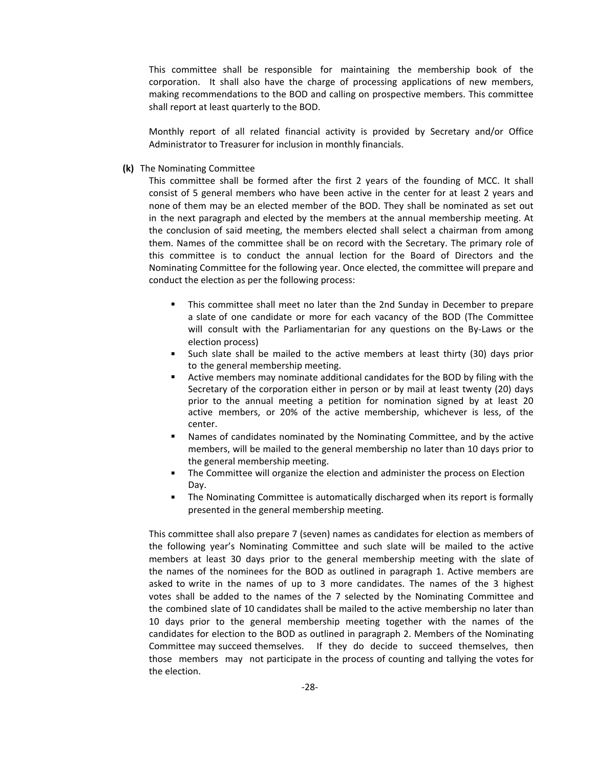This committee shall be responsible for maintaining the membership book of the corporation. It shall also have the charge of processing applications of new members, making recommendations to the BOD and calling on prospective members. This committee shall report at least quarterly to the BOD.

Monthly report of all related financial activity is provided by Secretary and/or Office Administrator to Treasurer for inclusion in monthly financials.

**(k)** The Nominating Committee

This committee shall be formed after the first 2 years of the founding of MCC. It shall consist of 5 general members who have been active in the center for at least 2 years and none of them may be an elected member of the BOD. They shall be nominated as set out in the next paragraph and elected by the members at the annual membership meeting. At the conclusion of said meeting, the members elected shall select a chairman from among them. Names of the committee shall be on record with the Secretary. The primary role of this committee is to conduct the annual lection for the Board of Directors and the Nominating Committee for the following year. Once elected, the committee will prepare and conduct the election as per the following process:

- This committee shall meet no later than the 2nd Sunday in December to prepare a slate of one candidate or more for each vacancy of the BOD (The Committee will consult with the Parliamentarian for any questions on the By-Laws or the election process)
- Such slate shall be mailed to the active members at least thirty (30) days prior to the general membership meeting.
- Active members may nominate additional candidates for the BOD by filing with the Secretary of the corporation either in person or by mail at least twenty (20) days prior to the annual meeting a petition for nomination signed by at least 20 active members, or 20% of the active membership, whichever is less, of the center.
- Names of candidates nominated by the Nominating Committee, and by the active members, will be mailed to the general membership no later than 10 days prior to the general membership meeting.
- **The Committee will organize the election and administer the process on Election** Day.
- The Nominating Committee is automatically discharged when its report is formally presented in the general membership meeting.

This committee shall also prepare 7 (seven) names as candidates for election as members of the following year's Nominating Committee and such slate will be mailed to the active members at least 30 days prior to the general membership meeting with the slate of the names of the nominees for the BOD as outlined in paragraph 1. Active members are asked to write in the names of up to 3 more candidates. The names of the 3 highest votes shall be added to the names of the 7 selected by the Nominating Committee and the combined slate of 10 candidates shall be mailed to the active membership no later than 10 days prior to the general membership meeting together with the names of the candidates for election to the BOD as outlined in paragraph 2. Members of the Nominating Committee may succeed themselves. If they do decide to succeed themselves, then those members may not participate in the process of counting and tallying the votes for the election.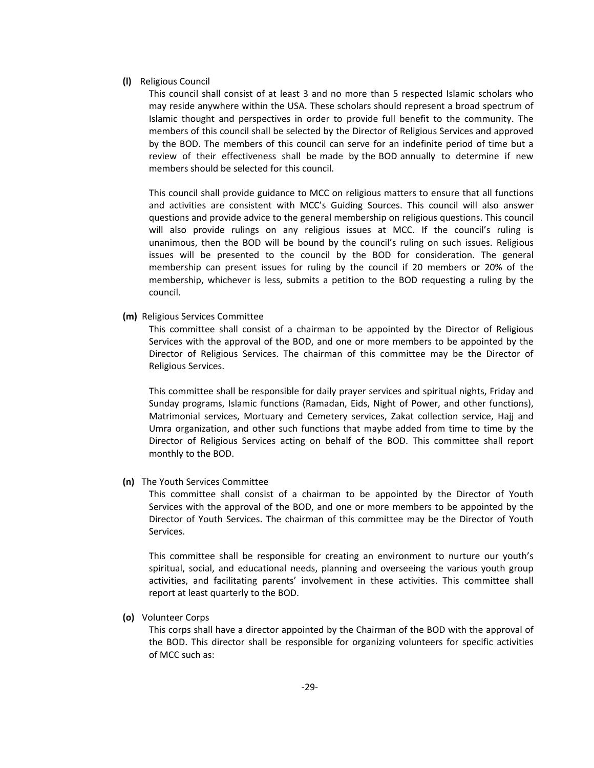#### **(l)** Religious Council

This council shall consist of at least 3 and no more than 5 respected Islamic scholars who may reside anywhere within the USA. These scholars should represent a broad spectrum of Islamic thought and perspectives in order to provide full benefit to the community. The members of this council shall be selected by the Director of Religious Services and approved by the BOD. The members of this council can serve for an indefinite period of time but a review of their effectiveness shall be made by the BOD annually to determine if new members should be selected for this council.

This council shall provide guidance to MCC on religious matters to ensure that all functions and activities are consistent with MCC's Guiding Sources. This council will also answer questions and provide advice to the general membership on religious questions. This council will also provide rulings on any religious issues at MCC. If the council's ruling is unanimous, then the BOD will be bound bythe council's ruling on such issues. Religious issues will be presented to the council by the BOD for consideration. The general membership can present issues for ruling by the council if 20 members or 20% of the membership, whichever is less, submits a petition to the BOD requesting a ruling by the council.

## **(m)** Religious Services Committee

This committee shall consist of a chairman to be appointed by the Director of Religious Services with the approval of the BOD, and one or more members to be appointed by the Director of Religious Services. The chairman of this committee may be the Director of Religious Services.

This committee shall be responsible for daily prayer services and spiritual nights, Friday and Sunday programs, Islamic functions (Ramadan, Eids, Night of Power, and other functions), Matrimonial services, Mortuary and Cemetery services, Zakat collection service, Hajj and Umra organization, and other such functions that maybe added from time to time by the Director of Religious Services acting on behalf of the BOD. This committee shall report monthly to the BOD.

## **(n)**  The Youth Services Committee

This committee shall consist of a chairman to be appointed by the Director of Youth Services with the approval of the BOD, and one or more members to be appointed by the Director of Youth Services. The chairman of this committee may be the Director of Youth Services.

This committee shall be responsible for creating an environment to nurture our youth's spiritual, social, and educational needs, planning and overseeing the various youth group activities, and facilitating parents' involvement in these activities. This committee shall report at least quarterly to the BOD.

#### **(o)**  Volunteer Corps

This corps shall have a director appointed by the Chairman of the BOD with the approval of the BOD. This director shall be responsible for organizing volunteers for specific activities of MCC such as: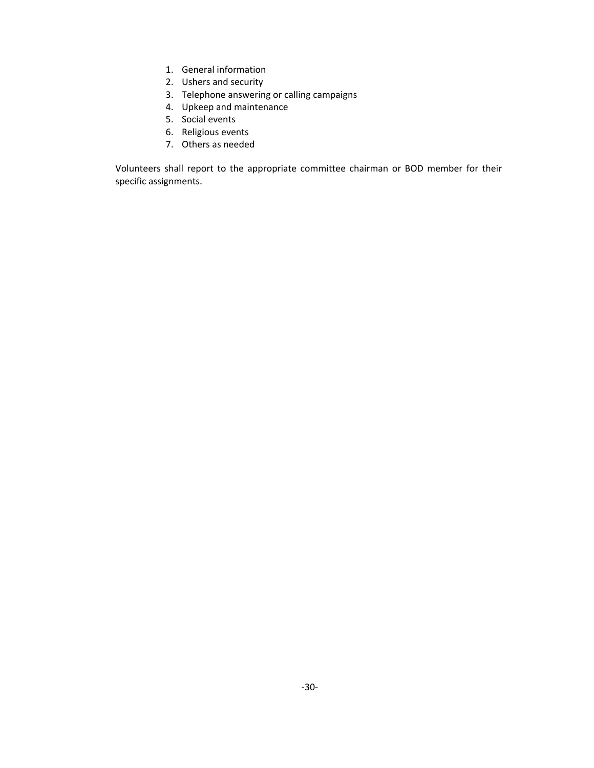- 1. General information
- 2. Ushers and security
- 3. Telephone answering or calling campaigns
- 4. Upkeep and maintenance
- 5. Social events
- 6. Religious events
- 7. Others as needed

Volunteers shall report to the appropriate committee chairman or BOD member for their specific assignments.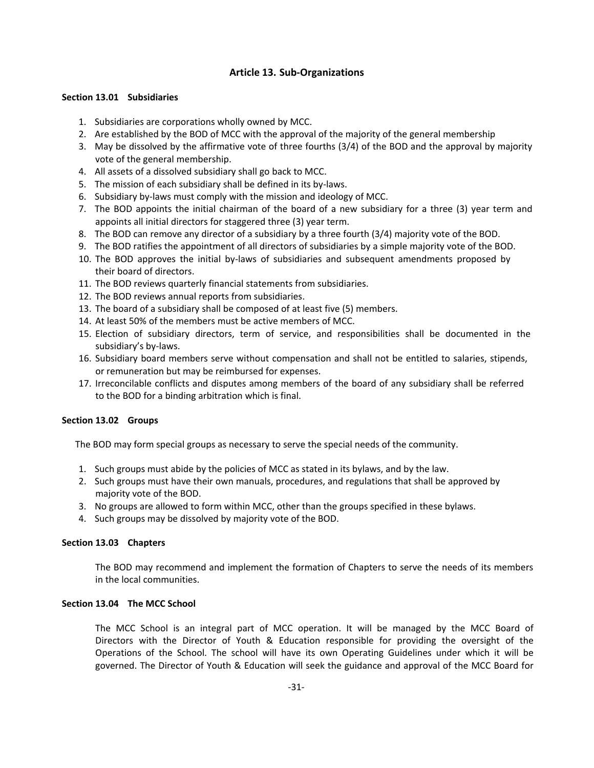## **Article 13. Sub‐Organizations**

## **Section 13.01 Subsidiaries**

- 1. Subsidiaries are corporations wholly owned by MCC.
- 2. Are established by the BOD of MCC with the approval of the majority of the general membership
- 3. May be dissolved by the affirmative vote of three fourths (3/4) of the BOD and the approval by majority vote of the general membership.
- 4. All assets of a dissolved subsidiary shall go back to MCC.
- 5. The mission of each subsidiary shall be defined in its by‐laws.
- 6. Subsidiary by‐laws must comply with the mission and ideology of MCC.
- 7. The BOD appoints the initial chairman of the board of a new subsidiary for a three (3) year term and appoints all initial directors for staggered three (3) year term.
- 8. The BOD can remove any director of a subsidiary by a three fourth (3/4) majority vote of the BOD.
- 9. The BOD ratifies the appointment of all directors of subsidiaries by a simple majority vote of the BOD.
- 10. The BOD approves the initial by‐laws of subsidiaries and subsequent amendments proposed by their board of directors.
- 11. The BOD reviews quarterly financial statements from subsidiaries.
- 12. The BOD reviews annual reports from subsidiaries.
- 13. The board of a subsidiary shall be composed of at least five (5) members.
- 14. At least 50% of the members must be active members of MCC.
- 15. Election of subsidiary directors, term of service, and responsibilities shall be documented in the subsidiary's by‐laws.
- 16. Subsidiary board members serve without compensation and shall not be entitled to salaries, stipends, or remuneration but may be reimbursed for expenses.
- 17. Irreconcilable conflicts and disputes among members of the board of any subsidiary shall be referred to the BOD for a binding arbitration which is final.

## **Section 13.02 Groups**

The BOD may form special groups as necessary to serve the special needs of the community.

- 1. Such groups must abide by the policies of MCC as stated in its bylaws, and by the law.
- 2. Such groups must have their own manuals, procedures, and regulations that shall be approved by majority vote of the BOD.
- 3. No groups are allowed to form within MCC, other than the groups specified in these bylaws.
- 4. Such groups may be dissolved by majority vote of the BOD.

## **Section 13.03 Chapters**

The BOD may recommend and implement the formation of Chapters to serve the needs of its members in the local communities.

## **Section 13.04 The MCC School**

The MCC School is an integral part of MCC operation. It will be managed by the MCC Board of Directors with the Director of Youth & Education responsible for providing the oversight of the Operations of the School. The school will have its own Operating Guidelines under which it will be governed. The Director of Youth & Education will seek the guidance and approval of the MCC Board for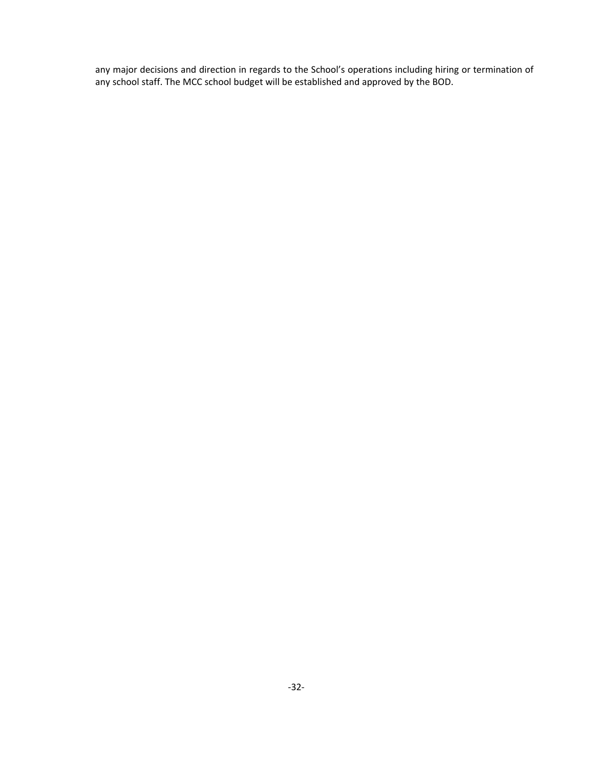any major decisions and direction in regards to the School's operations including hiring or termination of any school staff. The MCC school budget will be established and approved by the BOD.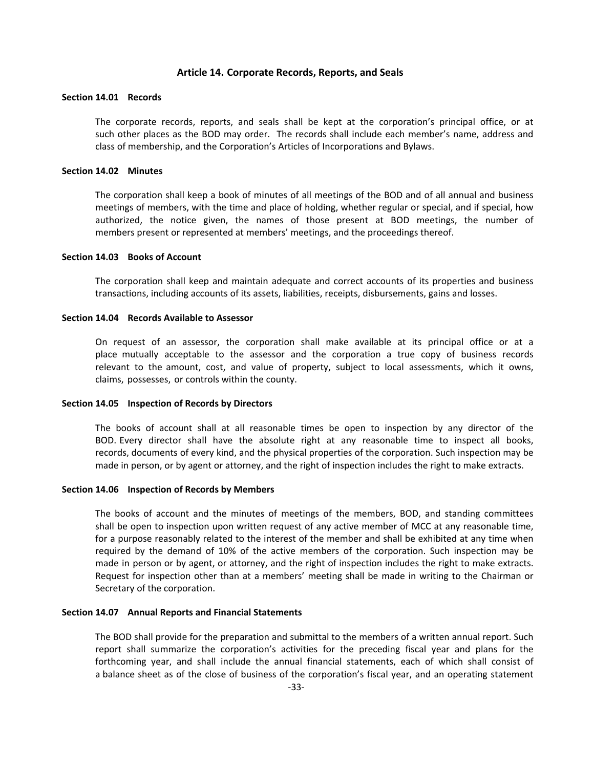#### **Article 14. Corporate Records, Reports, and Seals**

## **Section 14.01 Records**

The corporate records, reports, and seals shall be kept at the corporation's principal office, or at such other places as the BOD may order. The records shall include each member's name, address and class of membership, and the Corporation's Articles of Incorporations and Bylaws.

#### **Section 14.02 Minutes**

The corporation shall keep a book of minutes of all meetings of the BOD and of all annual and business meetings of members, with the time and place of holding, whether regular or special, and if special, how authorized, the notice given, the names of those present at BOD meetings, the number of members present or represented at members' meetings, and the proceedings thereof.

#### **Section 14.03 Books of Account**

The corporation shall keep and maintain adequate and correct accounts of its properties and business transactions, including accounts of its assets, liabilities, receipts, disbursements, gains and losses.

#### **Section 14.04 Records Available to Assessor**

On requestof an assessor, the corporation shall make available at its principal office or at a place mutually acceptable to the assessor and the corporation a true copy of business records relevant to the amount, cost, and value of property, subject to local assessments, which it owns, claims, possesses, or controls within the county.

#### **Section 14.05 Inspection of Records by Directors**

The books of account shall at all reasonable times be open to inspection by any director of the BOD. Every director shall have the absolute right at any reasonable time to inspect all books, records, documents of every kind, and the physical properties of the corporation. Such inspection may be made in person, or by agent or attorney, and the right of inspection includes the right to make extracts.

#### **Section 14.06 Inspection of Records by Members**

The books of account and the minutes of meetings of the members, BOD, and standing committees shall be open to inspection upon written request of any active member of MCC at any reasonable time, for a purpose reasonably related to the interest of the member and shall be exhibited at any time when required by the demand of 10% of the active members of the corporation. Such inspection may be made in person or by agent, or attorney, and the right of inspection includes the right to make extracts. Request for inspection other than at a members' meeting shall be made in writing to the Chairman or Secretary of the corporation.

### **Section 14.07 Annual Reports and Financial Statements**

The BOD shall provide for the preparation and submittal to the members of a written annual report. Such report shall summarize the corporation's activities for the preceding fiscal year and plans for the forthcoming year, and shall include the annual financial statements, each of which shall consist of a balance sheet as of the close of business of the corporation's fiscal year, and an operating statement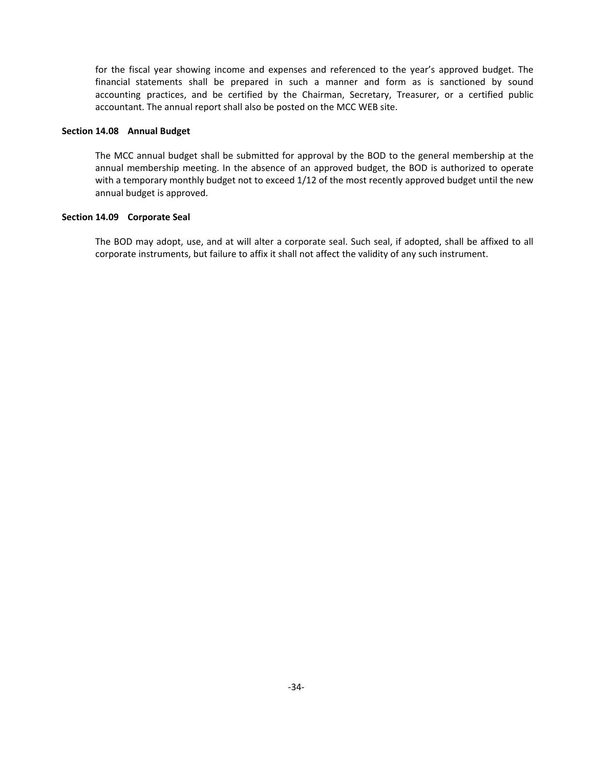for the fiscal year showing income and expenses and referenced to the year's approved budget. The financial statements shall be prepared in such a manner and form as is sanctioned by sound accounting practices, and be certified by the Chairman, Secretary, Treasurer, or a certified public accountant. The annual report shall also be posted on the MCC WEB site.

## **Section 14.08 Annual Budget**

The MCC annual budget shall be submitted for approval by the BOD to the general membership at the annual membership meeting. In the absence of an approved budget, the BOD is authorized to operate with a temporary monthly budget not to exceed 1/12 of the most recently approved budget until the new annual budget is approved.

#### **Section 14.09 Corporate Seal**

The BOD may adopt, use, and at will alter a corporate seal. Such seal, if adopted, shall be affixed to all corporate instruments, but failure to affix it shall not affect the validity of any such instrument.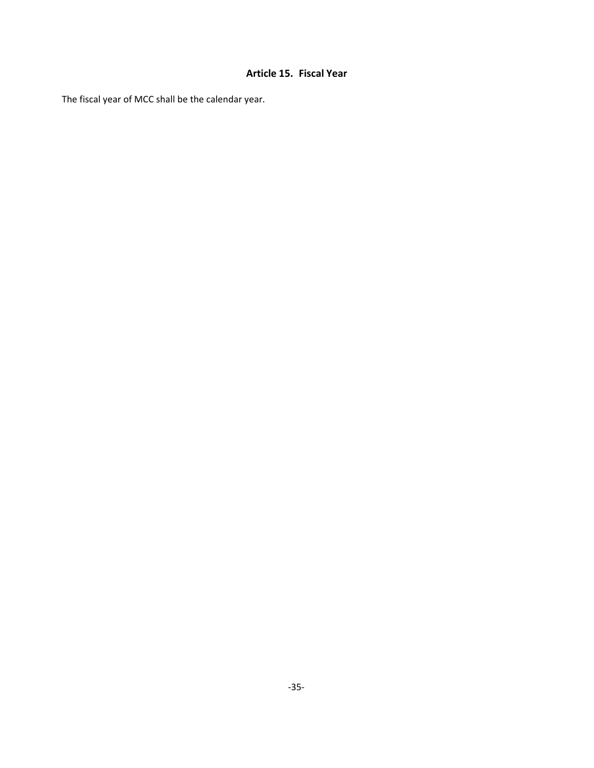## **Article 15. Fiscal Year**

The fiscal year of MCC shall be the calendar year.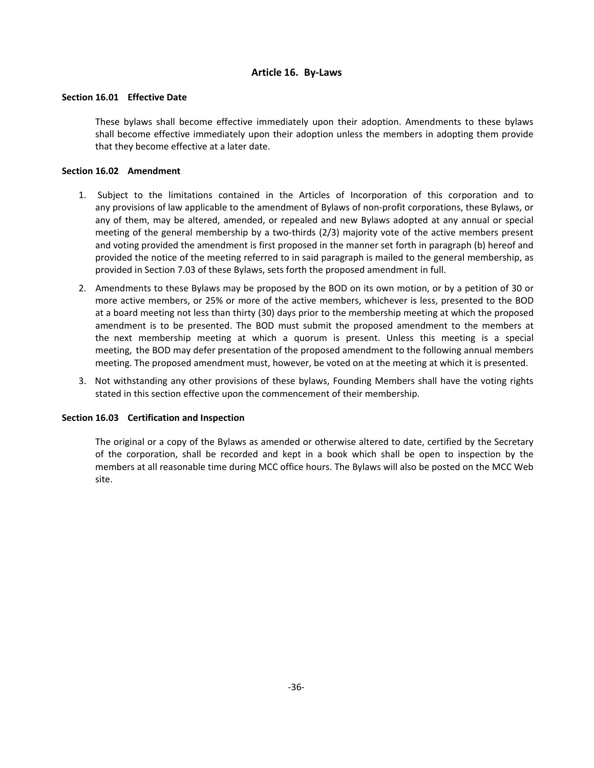## **Article 16. By‐Laws**

## **Section 16.01 Effective Date**

These bylaws shall become effective immediately upon their adoption. Amendments to these bylaws shall become effective immediately upon their adoption unless the members in adopting them provide that they become effective at a later date.

## **Section 16.02 Amendment**

- 1. Subject to the limitations contained in the Articles of Incorporation of this corporation and to any provisions of law applicable to the amendment of Bylaws of non‐profit corporations, these Bylaws, or any of them, may be altered, amended, or repealed and new Bylaws adopted at any annual or special meeting of the general membership by a two-thirds (2/3) majority vote of the active members present and voting provided the amendment is first proposed in the manner set forth in paragraph (b) hereof and provided the notice of the meeting referred to in said paragraph is mailed to the general membership, as provided in Section 7.03 of these Bylaws, sets forth the proposed amendment in full.
- 2. Amendments to these Bylaws may be proposed by the BOD on its own motion, or by a petition of 30 or more active members, or 25% or more of the active members, whichever is less, presented to the BOD at a board meeting not less than thirty (30) days prior to the membership meeting at which the proposed amendment is to be presented. The BOD must submit the proposed amendment to the members at the next membership meeting at which a quorum is present. Unless this meeting is a special meeting, the BOD may defer presentation of the proposed amendment to the following annual members meeting. The proposed amendment must, however, be voted on at the meeting at which it is presented.
- 3. Not withstanding any other provisions of these bylaws, Founding Members shall have the voting rights stated in this section effective upon the commencement of their membership.

## **Section 16.03 Certification and Inspection**

The original or a copy of the Bylaws as amended or otherwise altered to date, certified by the Secretary of the corporation, shall be recorded and kept in a book which shall be open to inspection bythe members at all reasonable time during MCC office hours.The Bylaws will also be posted on the MCC Web site.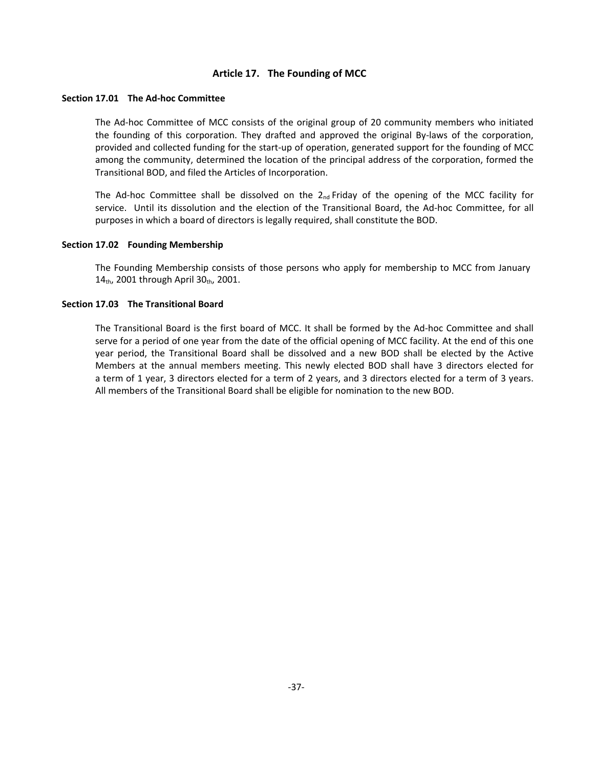## **Article 17. The Founding of MCC**

#### **Section 17.01 The Ad‐hoc Committee**

The Ad-hoc Committee of MCC consists of the original group of 20 community members who initiated the founding of this corporation. They drafted and approved the original By‐laws of the corporation, provided and collected funding for the start‐up of operation, generated support for the founding of MCC among the community, determined the location of the principal address of the corporation, formed the Transitional BOD, and filed the Articles of Incorporation.

The Ad-hoc Committee shall be dissolved on the  $2_{nd}$  Friday of the opening of the MCC facility for service. Until its dissolution and the election of the Transitional Board, the Ad-hoc Committee, for all purposes in which a board of directors is legally required, shall constitute the BOD.

## **Section 17.02 Founding Membership**

The Founding Membership consists of those persons who apply for membership to MCC from January 14th, 2001 through April 30th, 2001.

## **Section 17.03 The Transitional Board**

The Transitional Board is the first board of MCC. It shall be formed by the Ad‐hoc Committee and shall serve for a period of one year from the date of the official opening of MCC facility. At the end of this one year period, the Transitional Board shall be dissolved and a new BOD shall be elected by the Active Members at the annual members meeting. This newly elected BOD shall have 3 directors elected for a term of 1 year, 3 directors elected for a term of 2 years, and 3 directors elected for a term of 3 years. All members of the Transitional Board shall be eligible for nomination to the new BOD.